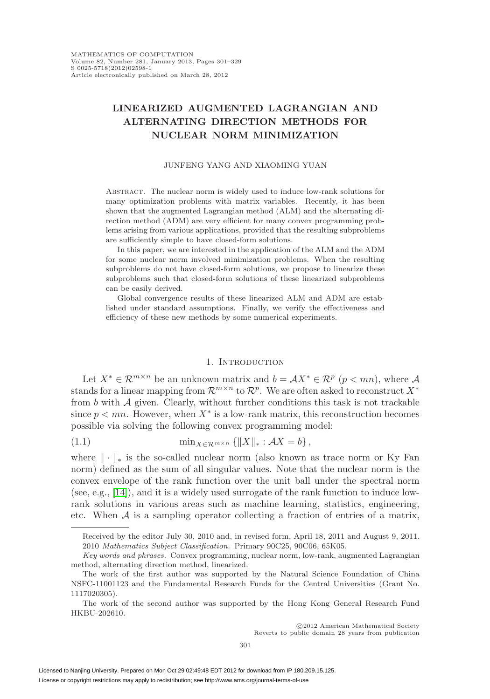# **LINEARIZED AUGMENTED LAGRANGIAN AND ALTERNATING DIRECTION METHODS FOR NUCLEAR NORM MINIMIZATION**

#### JUNFENG YANG AND XIAOMING YUAN

Abstract. The nuclear norm is widely used to induce low-rank solutions for many optimization problems with matrix variables. Recently, it has been shown that the augmented Lagrangian method (ALM) and the alternating direction method (ADM) are very efficient for many convex programming problems arising from various applications, provided that the resulting subproblems are sufficiently simple to have closed-form solutions.

In this paper, we are interested in the application of the ALM and the ADM for some nuclear norm involved minimization problems. When the resulting subproblems do not have closed-form solutions, we propose to linearize these subproblems such that closed-form solutions of these linearized subproblems can be easily derived.

Global convergence results of these linearized ALM and ADM are established under standard assumptions. Finally, we verify the effectiveness and efficiency of these new methods by some numerical experiments.

### 1. INTRODUCTION

Let  $X^* \in \mathcal{R}^{m \times n}$  be an unknown matrix and  $b = \mathcal{A}X^* \in \mathcal{R}^p$   $(p < mn)$ , where A stands for a linear mapping from  $\mathcal{R}^{m \times n}$  to  $\mathcal{R}^p$ . We are often asked to reconstruct  $X^*$ from  $b$  with  $A$  given. Clearly, without further conditions this task is not trackable since  $p < mn$ . However, when  $X^*$  is a low-rank matrix, this reconstruction becomes possible via solving the following convex programming model:

<span id="page-0-0"></span>(1.1) 
$$
\min_{X \in \mathcal{R}^{m \times n}} \{ \|X\|_{*} : \mathcal{A}X = b \},
$$

where  $\|\cdot\|_*$  is the so-called nuclear norm (also known as trace norm or Ky Fan norm) defined as the sum of all singular values. Note that the nuclear norm is the convex envelope of the rank function over the unit ball under the spectral norm (see, e.g., [\[14\]](#page-26-0)), and it is a widely used surrogate of the rank function to induce lowrank solutions in various areas such as machine learning, statistics, engineering, etc. When  $A$  is a sampling operator collecting a fraction of entries of a matrix,

Reverts to public domain 28 years from publication

Received by the editor July 30, 2010 and, in revised form, April 18, 2011 and August 9, 2011. 2010 Mathematics Subject Classification. Primary 90C25, 90C06, 65K05.

Key words and phrases. Convex programming, nuclear norm, low-rank, augmented Lagrangian method, alternating direction method, linearized.

The work of the first author was supported by the Natural Science Foundation of China NSFC-11001123 and the Fundamental Research Funds for the Central Universities (Grant No. 1117020305).

The work of the second author was supported by the Hong Kong General Research Fund HKBU-202610.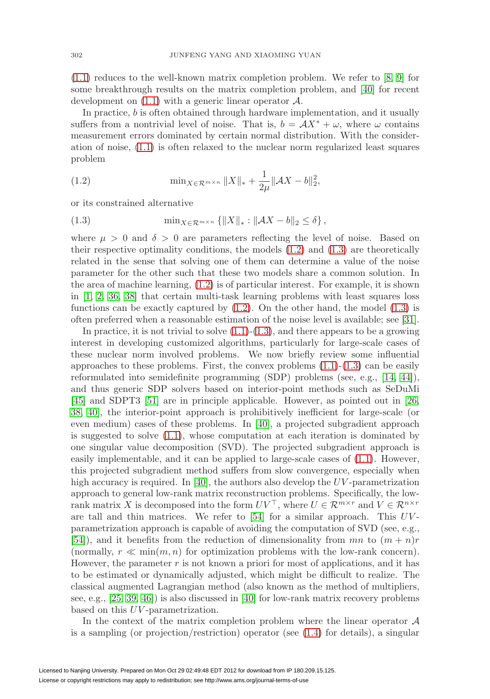[\(1.1\)](#page-0-0) reduces to the well-known matrix completion problem. We refer to [\[8,](#page-26-1) [9\]](#page-26-2) for some breakthrough results on the matrix completion problem, and [\[40\]](#page-27-0) for recent development on  $(1.1)$  with a generic linear operator  $\mathcal{A}$ .

In practice, b is often obtained through hardware implementation, and it usually suffers from a nontrivial level of noise. That is,  $b = \mathcal{A}X^* + \omega$ , where  $\omega$  contains measurement errors dominated by certain normal distribution. With the consideration of noise, [\(1.1\)](#page-0-0) is often relaxed to the nuclear norm regularized least squares problem

<span id="page-1-0"></span>(1.2) 
$$
\min_{X \in \mathcal{R}^{m \times n}} \|X\|_{*} + \frac{1}{2\mu} \|\mathcal{A}X - b\|_{2}^{2},
$$

or its constrained alternative

<span id="page-1-1"></span>(1.3) 
$$
\min_{X \in \mathcal{R}^{m \times n}} \{ \|X\|_{*} : \|AX - b\|_{2} \le \delta \},
$$

where  $\mu > 0$  and  $\delta > 0$  are parameters reflecting the level of noise. Based on their respective optimality conditions, the models [\(1.2\)](#page-1-0) and [\(1.3\)](#page-1-1) are theoretically related in the sense that solving one of them can determine a value of the noise parameter for the other such that these two models share a common solution. In the area of machine learning, [\(1.2\)](#page-1-0) is of particular interest. For example, it is shown in [\[1,](#page-26-3) [2,](#page-26-4) [36,](#page-27-1) [38\]](#page-27-2) that certain multi-task learning problems with least squares loss functions can be exactly captured by  $(1.2)$ . On the other hand, the model  $(1.3)$  is often preferred when a reasonable estimation of the noise level is available; see [\[31\]](#page-27-3).

In practice, it is not trivial to solve  $(1.1)-(1.3)$  $(1.1)-(1.3)$  $(1.1)-(1.3)$ , and there appears to be a growing interest in developing customized algorithms, particularly for large-scale cases of these nuclear norm involved problems. We now briefly review some influential approaches to these problems. First, the convex problems  $(1.1)-(1.3)$  $(1.1)-(1.3)$  $(1.1)-(1.3)$  can be easily reformulated into semidefinite programming (SDP) problems (see, e.g., [\[14,](#page-26-0) [44\]](#page-28-0)), and thus generic SDP solvers based on interior-point methods such as SeDuMi [\[45\]](#page-28-1) and SDPT3 [\[51\]](#page-28-2) are in principle applicable. However, as pointed out in [\[26,](#page-27-4) [38,](#page-27-2) [40\]](#page-27-0), the interior-point approach is prohibitively inefficient for large-scale (or even medium) cases of these problems. In [\[40\]](#page-27-0), a projected subgradient approach is suggested to solve [\(1.1\)](#page-0-0), whose computation at each iteration is dominated by one singular value decomposition (SVD). The projected subgradient approach is easily implementable, and it can be applied to large-scale cases of [\(1.1\)](#page-0-0). However, this projected subgradient method suffers from slow convergence, especially when high accuracy is required. In  $[40]$ , the authors also develop the UV-parametrization approach to general low-rank matrix reconstruction problems. Specifically, the lowrank matrix X is decomposed into the form  $UV^{\top}$ , where  $U \in \mathcal{R}^{m \times r}$  and  $V \in \mathcal{R}^{n \times r}$ are tall and thin matrices. We refer to [\[54\]](#page-28-3) for a similar approach. This  $UV$ parametrization approach is capable of avoiding the computation of SVD (see, e.g., [\[54\]](#page-28-3)), and it benefits from the reduction of dimensionality from  $mn$  to  $(m + n)r$ (normally,  $r \ll \min(m, n)$  for optimization problems with the low-rank concern). However, the parameter  $r$  is not known a priori for most of applications, and it has to be estimated or dynamically adjusted, which might be difficult to realize. The classical augmented Lagrangian method (also known as the method of multipliers, see, e.g., [\[25,](#page-27-5) [39,](#page-27-6) [46\]](#page-28-4)) is also discussed in [\[40\]](#page-27-0) for low-rank matrix recovery problems based on this UV -parametrization.

In the context of the matrix completion problem where the linear operator  $A$ is a sampling (or projection/restriction) operator (see [\(1.4\)](#page-2-0) for details), a singular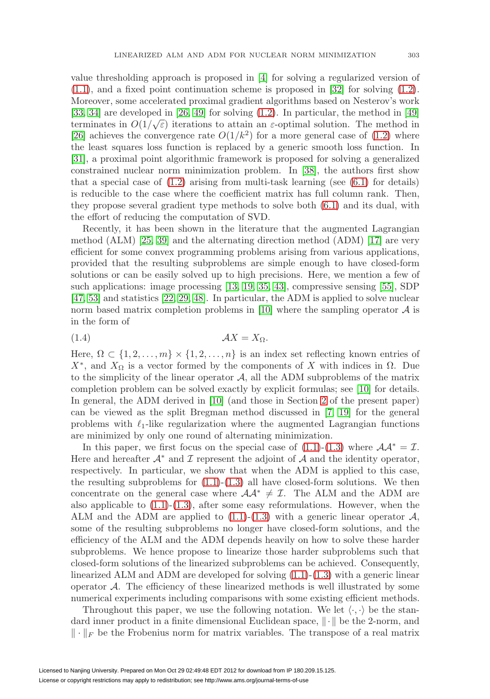value thresholding approach is proposed in [\[4\]](#page-26-5) for solving a regularized version of  $(1.1)$ , and a fixed point continuation scheme is proposed in [\[32\]](#page-27-7) for solving  $(1.2)$ . Moreover, some accelerated proximal gradient algorithms based on Nesterov's work [\[33,](#page-27-8) [34\]](#page-27-9) are developed in [\[26,](#page-27-4) [49\]](#page-28-5) for solving [\(1.2\)](#page-1-0). In particular, the method in [\[49\]](#page-28-5) (b),  $\sigma_1$  are developed in [20, 49] for solving (1.2). In particular, the method in [49] terminates in  $O(1/\sqrt{\varepsilon})$  iterations to attain an  $\varepsilon$ -optimal solution. The method in [\[26\]](#page-27-4) achieves the convergence rate  $O(1/k^2)$  for a more general case of [\(1.2\)](#page-1-0) where the least squares loss function is replaced by a generic smooth loss function. In [\[31\]](#page-27-3), a proximal point algorithmic framework is proposed for solving a generalized constrained nuclear norm minimization problem. In [\[38\]](#page-27-2), the authors first show that a special case of  $(1.2)$  arising from multi-task learning (see  $(6.1)$ ) for details) is reducible to the case where the coefficient matrix has full column rank. Then, they propose several gradient type methods to solve both [\(6.1\)](#page-16-0) and its dual, with the effort of reducing the computation of SVD.

Recently, it has been shown in the literature that the augmented Lagrangian method (ALM) [\[25,](#page-27-5) [39\]](#page-27-6) and the alternating direction method (ADM) [\[17\]](#page-26-6) are very efficient for some convex programming problems arising from various applications, provided that the resulting subproblems are simple enough to have closed-form solutions or can be easily solved up to high precisions. Here, we mention a few of such applications: image processing [\[13,](#page-26-7) [19,](#page-26-8) [35,](#page-27-10) [43\]](#page-28-6), compressive sensing [\[55\]](#page-28-7), SDP [\[47,](#page-28-8) [53\]](#page-28-9) and statistics [\[22,](#page-27-11) [29,](#page-27-12) [48\]](#page-28-10). In particular, the ADM is applied to solve nuclear norm based matrix completion problems in [\[10\]](#page-26-9) where the sampling operator  $A$  is in the form of

<span id="page-2-0"></span>(1.4) AX = XΩ.

Here,  $\Omega \subset \{1, 2, \ldots, m\} \times \{1, 2, \ldots, n\}$  is an index set reflecting known entries of  $X^*$ , and  $X_{\Omega}$  is a vector formed by the components of X with indices in  $\Omega$ . Due to the simplicity of the linear operator  $A$ , all the ADM subproblems of the matrix completion problem can be solved exactly by explicit formulas; see [\[10\]](#page-26-9) for details. In general, the ADM derived in [\[10\]](#page-26-9) (and those in Section [2](#page-3-0) of the present paper) can be viewed as the split Bregman method discussed in [\[7,](#page-26-10) [19\]](#page-26-8) for the general problems with  $\ell_1$ -like regularization where the augmented Lagrangian functions are minimized by only one round of alternating minimization.

In this paper, we first focus on the special case of  $(1.1)-(1.3)$  $(1.1)-(1.3)$  $(1.1)-(1.3)$  where  $\mathcal{A}\mathcal{A}^* = \mathcal{I}$ . Here and hereafter  $\mathcal{A}^*$  and  $\mathcal I$  represent the adjoint of  $\mathcal A$  and the identity operator, respectively. In particular, we show that when the ADM is applied to this case, the resulting subproblems for  $(1.1)-(1.3)$  $(1.1)-(1.3)$  $(1.1)-(1.3)$  all have closed-form solutions. We then concentrate on the general case where  $\mathcal{A}A^* \neq \mathcal{I}$ . The ALM and the ADM are also applicable to  $(1.1)-(1.3)$  $(1.1)-(1.3)$  $(1.1)-(1.3)$ , after some easy reformulations. However, when the ALM and the ADM are applied to  $(1.1)-(1.3)$  $(1.1)-(1.3)$  $(1.1)-(1.3)$  with a generic linear operator  $\mathcal{A}$ , some of the resulting subproblems no longer have closed-form solutions, and the efficiency of the ALM and the ADM depends heavily on how to solve these harder subproblems. We hence propose to linearize those harder subproblems such that closed-form solutions of the linearized subproblems can be achieved. Consequently, linearized ALM and ADM are developed for solving [\(1.1\)](#page-0-0)-[\(1.3\)](#page-1-1) with a generic linear operator  $A$ . The efficiency of these linearized methods is well illustrated by some numerical experiments including comparisons with some existing efficient methods.

Throughout this paper, we use the following notation. We let  $\langle \cdot, \cdot \rangle$  be the standard inner product in a finite dimensional Euclidean space,  $\|\cdot\|$  be the 2-norm, and  $\|\cdot\|_F$  be the Frobenius norm for matrix variables. The transpose of a real matrix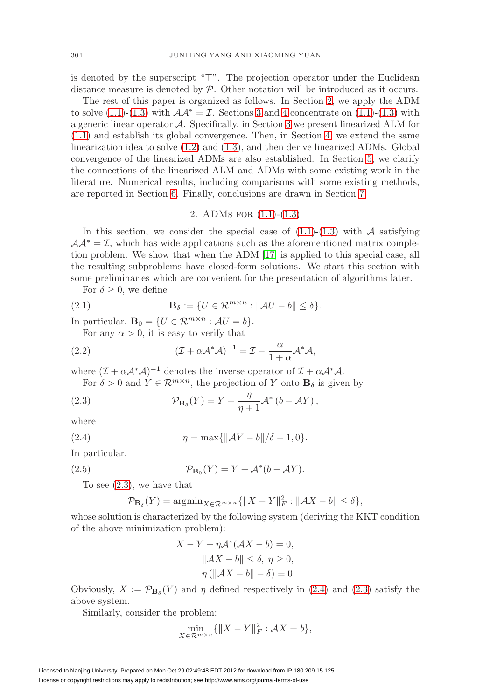is denoted by the superscript "T". The projection operator under the Euclidean distance measure is denoted by  $P$ . Other notation will be introduced as it occurs.

The rest of this paper is organized as follows. In Section [2,](#page-3-0) we apply the ADM to solve [\(1.1\)](#page-0-0)-[\(1.3\)](#page-1-1) with  $A A^* = I$ . Sections [3](#page-5-0) and [4](#page-9-0) concentrate on (1.1)-(1.3) with a generic linear operator A. Specifically, in Section [3](#page-5-0) we present linearized ALM for [\(1.1\)](#page-0-0) and establish its global convergence. Then, in Section [4,](#page-9-0) we extend the same linearization idea to solve [\(1.2\)](#page-1-0) and [\(1.3\)](#page-1-1), and then derive linearized ADMs. Global convergence of the linearized ADMs are also established. In Section [5,](#page-13-0) we clarify the connections of the linearized ALM and ADMs with some existing work in the literature. Numerical results, including comparisons with some existing methods, are reported in Section [6.](#page-15-0) Finally, conclusions are drawn in Section [7.](#page-25-0)

### 2. ADMs for [\(1.1\)](#page-0-0)-[\(1.3\)](#page-1-1)

<span id="page-3-0"></span>In this section, we consider the special case of  $(1.1)-(1.3)$  $(1.1)-(1.3)$  $(1.1)-(1.3)$  with A satisfying  $A A^* = I$ , which has wide applications such as the aforementioned matrix completion problem. We show that when the ADM [\[17\]](#page-26-6) is applied to this special case, all the resulting subproblems have closed-form solutions. We start this section with some preliminaries which are convenient for the presentation of algorithms later.

For  $\delta \geq 0$ , we define

(2.1) 
$$
\mathbf{B}_{\delta} := \{ U \in \mathcal{R}^{m \times n} : ||\mathcal{A}U - b|| \leq \delta \}.
$$

In particular,  $\mathbf{B}_0 = \{U \in \mathcal{R}^{m \times n} : \mathcal{A}U = b\}.$ 

For any  $\alpha > 0$ , it is easy to verify that

<span id="page-3-4"></span>(2.2) 
$$
(\mathcal{I} + \alpha \mathcal{A}^* \mathcal{A})^{-1} = \mathcal{I} - \frac{\alpha}{1 + \alpha} \mathcal{A}^* \mathcal{A},
$$

where  $(\mathcal{I} + \alpha \mathcal{A}^* \mathcal{A})^{-1}$  denotes the inverse operator of  $\mathcal{I} + \alpha \mathcal{A}^* \mathcal{A}$ .

For  $\delta > 0$  and  $Y \in \mathcal{R}^{m \times n}$ , the projection of Y onto  $\mathbf{B}_{\delta}$  is given by

<span id="page-3-1"></span>(2.3) 
$$
\mathcal{P}_{\mathbf{B}_{\delta}}(Y) = Y + \frac{\eta}{\eta + 1} \mathcal{A}^* \left( b - \mathcal{A} Y \right),
$$

where

<span id="page-3-2"></span>(2.4) 
$$
\eta = \max\{\|AY - b\|/\delta - 1, 0\}.
$$

In particular,

<span id="page-3-3"></span>(2.5) 
$$
\mathcal{P}_{\mathbf{B}_0}(Y) = Y + \mathcal{A}^*(b - \mathcal{A}Y).
$$

To see  $(2.3)$ , we have that

$$
\mathcal{P}_{\mathbf{B}_{\delta}}(Y) = \operatorname{argmin}_{X \in \mathcal{R}^{m \times n}} \{ \|X - Y\|_F^2 : \|AX - b\| \le \delta \},\
$$

whose solution is characterized by the following system (deriving the KKT condition of the above minimization problem):

$$
X - Y + \eta \mathcal{A}^* (\mathcal{A}X - b) = 0,
$$
  

$$
\|\mathcal{A}X - b\| \le \delta, \ \eta \ge 0,
$$
  

$$
\eta (\|\mathcal{A}X - b\| - \delta) = 0.
$$

Obviously,  $X := \mathcal{P}_{\mathbf{B}_{\delta}}(Y)$  and  $\eta$  defined respectively in [\(2.4\)](#page-3-2) and [\(2.3\)](#page-3-1) satisfy the above system.

Similarly, consider the problem:

$$
\min_{X \in \mathcal{R}^{m \times n}} \{ \|X - Y\|_F^2 : \mathcal{A}X = b \},\
$$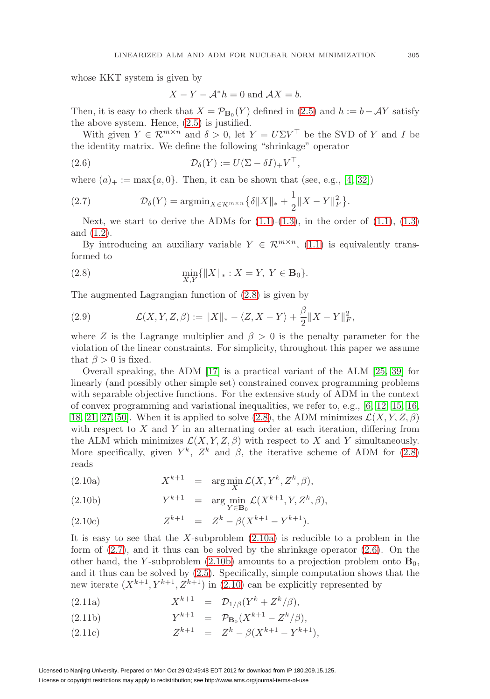whose KKT system is given by

$$
X - Y - \mathcal{A}^* h = 0 \text{ and } \mathcal{A}X = b.
$$

Then, it is easy to check that  $X = \mathcal{P}_{\mathbf{B}_0}(Y)$  defined in [\(2.5\)](#page-3-3) and  $h := b - \mathcal{A}Y$  satisfy the above system. Hence, [\(2.5\)](#page-3-3) is justified.

With given  $Y \in \mathcal{R}^{m \times n}$  and  $\delta > 0$ , let  $Y = U \Sigma V^{\top}$  be the SVD of Y and I be the identity matrix. We define the following "shrinkage" operator

<span id="page-4-3"></span>(2.6) 
$$
\mathcal{D}_{\delta}(Y) := U(\Sigma - \delta I)_{+} V^{\top},
$$

where  $(a)_+ := \max\{a, 0\}$ . Then, it can be shown that (see, e.g., [\[4,](#page-26-5) [32\]](#page-27-7))

<span id="page-4-2"></span>(2.7) 
$$
\mathcal{D}_{\delta}(Y) = \operatorname{argmin}_{X \in \mathcal{R}^{m \times n}} \{ \delta \| X \|_{*} + \frac{1}{2} \| X - Y \|_{F}^{2} \}.
$$

Next, we start to derive the ADMs for  $(1.1)-(1.3)$  $(1.1)-(1.3)$  $(1.1)-(1.3)$ , in the order of  $(1.1)$ ,  $(1.3)$ and [\(1.2\)](#page-1-0).

By introducing an auxiliary variable  $Y \in \mathcal{R}^{m \times n}$ , [\(1.1\)](#page-0-0) is equivalently transformed to

<span id="page-4-0"></span>(2.8) 
$$
\min_{X,Y} \{ \|X\|_* : X = Y, \ Y \in \mathbf{B}_0 \}.
$$

The augmented Lagrangian function of [\(2.8\)](#page-4-0) is given by

<span id="page-4-5"></span>(2.9) 
$$
\mathcal{L}(X, Y, Z, \beta) := \|X\|_{*} - \langle Z, X - Y \rangle + \frac{\beta}{2} \|X - Y\|_{F}^{2},
$$

where Z is the Lagrange multiplier and  $\beta > 0$  is the penalty parameter for the violation of the linear constraints. For simplicity, throughout this paper we assume that  $\beta > 0$  is fixed.

Overall speaking, the ADM [\[17\]](#page-26-6) is a practical variant of the ALM [\[25,](#page-27-5) [39\]](#page-27-6) for linearly (and possibly other simple set) constrained convex programming problems with separable objective functions. For the extensive study of ADM in the context of convex programming and variational inequalities, we refer to, e.g., [\[6,](#page-26-11) [12,](#page-26-12) [15,](#page-26-13) [16,](#page-26-14) [18,](#page-26-15) [21,](#page-27-13) [27,](#page-27-14) [50\]](#page-28-11). When it is applied to solve [\(2.8\)](#page-4-0), the ADM minimizes  $\mathcal{L}(X, Y, Z, \beta)$ with respect to  $X$  and  $Y$  in an alternating order at each iteration, differing from the ALM which minimizes  $\mathcal{L}(X, Y, Z, \beta)$  with respect to X and Y simultaneously. More specifically, given  $Y^k$ ,  $Z^k$  and  $\beta$ , the iterative scheme of ADM for [\(2.8\)](#page-4-0) reads

<span id="page-4-4"></span><span id="page-4-1"></span>(2.10a) 
$$
X^{k+1} = \arg\min_{X} \mathcal{L}(X, Y^k, Z^k, \beta),
$$

(2.10b) 
$$
Y^{k+1} = \arg\min_{Y \in \mathbf{B}_0} \mathcal{L}(X^{k+1}, Y, Z^k, \beta),
$$

(2.10c) 
$$
Z^{k+1} = Z^k - \beta (X^{k+1} - Y^{k+1}).
$$

It is easy to see that the X-subproblem  $(2.10a)$  is reducible to a problem in the form of [\(2.7\)](#page-4-2), and it thus can be solved by the shrinkage operator [\(2.6\)](#page-4-3). On the other hand, the Y-subproblem  $(2.10b)$  amounts to a projection problem onto  $\mathbf{B}_0$ , and it thus can be solved by [\(2.5\)](#page-3-3). Specifically, simple computation shows that the new iterate  $(X^{k+1}, Y^{k+1}, Z^{k+1})$  in [\(2.10\)](#page-4-4) can be explicitly represented by

<span id="page-4-7"></span><span id="page-4-6"></span>(2.11a) 
$$
X^{k+1} = \mathcal{D}_{1/\beta}(Y^k + Z^k/\beta),
$$

(2.11b) 
$$
Y^{k+1} = \mathcal{P}_{\mathbf{B}_0}(X^{k+1} - Z^k/\beta),
$$

(2.11c) 
$$
Z^{k+1} = Z^k - \beta (X^{k+1} - Y^{k+1}),
$$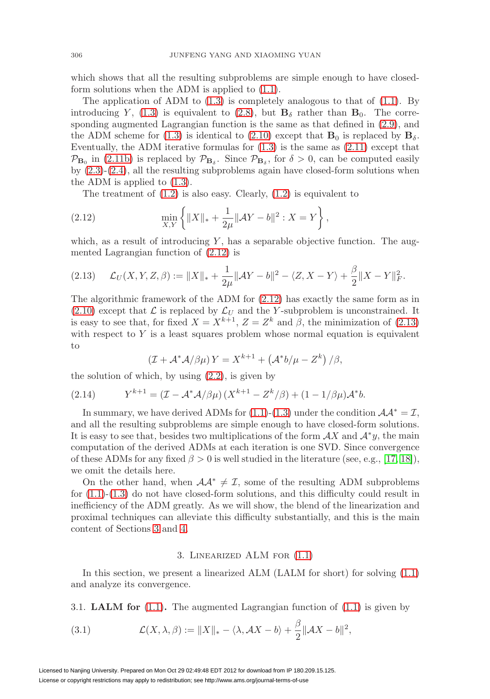which shows that all the resulting subproblems are simple enough to have closedform solutions when the ADM is applied to [\(1.1\)](#page-0-0).

The application of ADM to  $(1.3)$  is completely analogous to that of  $(1.1)$ . By introducing Y, [\(1.3\)](#page-1-1) is equivalent to [\(2.8\)](#page-4-0), but  $\mathbf{B}_{\delta}$  rather than  $\mathbf{B}_{0}$ . The corresponding augmented Lagrangian function is the same as that defined in [\(2.9\)](#page-4-5), and the ADM scheme for [\(1.3\)](#page-1-1) is identical to [\(2.10\)](#page-4-4) except that  $\mathbf{B}_0$  is replaced by  $\mathbf{B}_\delta$ . Eventually, the ADM iterative formulas for  $(1.3)$  is the same as  $(2.11)$  except that  $\mathcal{P}_{\mathbf{B}_0}$  in [\(2.11b\)](#page-4-7) is replaced by  $\mathcal{P}_{\mathbf{B}_\delta}$ . Since  $\mathcal{P}_{\mathbf{B}_\delta}$ , for  $\delta > 0$ , can be computed easily by [\(2.3\)](#page-3-1)-[\(2.4\)](#page-3-2), all the resulting subproblems again have closed-form solutions when the ADM is applied to [\(1.3\)](#page-1-1).

The treatment of  $(1.2)$  is also easy. Clearly,  $(1.2)$  is equivalent to

<span id="page-5-1"></span>(2.12) 
$$
\min_{X,Y} \left\{ \|X\|_{*} + \frac{1}{2\mu} \|\mathcal{A}Y - b\|^{2} : X = Y \right\},
$$

which, as a result of introducing  $Y$ , has a separable objective function. The augmented Lagrangian function of [\(2.12\)](#page-5-1) is

<span id="page-5-2"></span>
$$
(2.13) \quad \mathcal{L}_U(X, Y, Z, \beta) := \|X\|_{*} + \frac{1}{2\mu} \|AY - b\|^2 - \langle Z, X - Y \rangle + \frac{\beta}{2} \|X - Y\|_{F}^2.
$$

The algorithmic framework of the ADM for [\(2.12\)](#page-5-1) has exactly the same form as in [\(2.10\)](#page-4-4) except that  $\mathcal L$  is replaced by  $\mathcal L_U$  and the Y-subproblem is unconstrained. It is easy to see that, for fixed  $X = X^{k+1}$ ,  $Z = Z^k$  and  $\beta$ , the minimization of [\(2.13\)](#page-5-2) with respect to  $Y$  is a least squares problem whose normal equation is equivalent to

$$
\left(\mathcal{I} + \mathcal{A}^* \mathcal{A}/\beta \mu\right) Y = X^{k+1} + \left(\mathcal{A}^* b/\mu - Z^k\right)/\beta,
$$

the solution of which, by using  $(2.2)$ , is given by

(2.14) 
$$
Y^{k+1} = (I - A^*A/\beta\mu)(X^{k+1} - Z^k/\beta) + (1 - 1/\beta\mu)A^*b.
$$

In summary, we have derived ADMs for [\(1.1\)](#page-0-0)-[\(1.3\)](#page-1-1) under the condition  $\mathcal{A}\mathcal{A}^* = \mathcal{I}$ , and all the resulting subproblems are simple enough to have closed-form solutions. It is easy to see that, besides two multiplications of the form  $\mathcal{A}X$  and  $\mathcal{A}^*y$ , the main computation of the derived ADMs at each iteration is one SVD. Since convergence of these ADMs for any fixed  $\beta > 0$  is well studied in the literature (see, e.g., [\[17,](#page-26-6) [18\]](#page-26-15)), we omit the details here.

On the other hand, when  $\mathcal{A}A^* \neq \mathcal{I}$ , some of the resulting ADM subproblems for  $(1.1)-(1.3)$  $(1.1)-(1.3)$  $(1.1)-(1.3)$  do not have closed-form solutions, and this difficulty could result in inefficiency of the ADM greatly. As we will show, the blend of the linearization and proximal techniques can alleviate this difficulty substantially, and this is the main content of Sections [3](#page-5-0) and [4.](#page-9-0)

#### 3. Linearized ALM for [\(1.1\)](#page-0-0)

<span id="page-5-0"></span>In this section, we present a linearized ALM (LALM for short) for solving [\(1.1\)](#page-0-0) and analyze its convergence.

3.1. **LALM for** [\(1.1\)](#page-0-0)**.** The augmented Lagrangian function of [\(1.1\)](#page-0-0) is given by

<span id="page-5-3"></span>(3.1) 
$$
\mathcal{L}(X,\lambda,\beta) := \|X\|_* - \langle \lambda, \mathcal{A}X - b \rangle + \frac{\beta}{2} \|\mathcal{A}X - b\|^2,
$$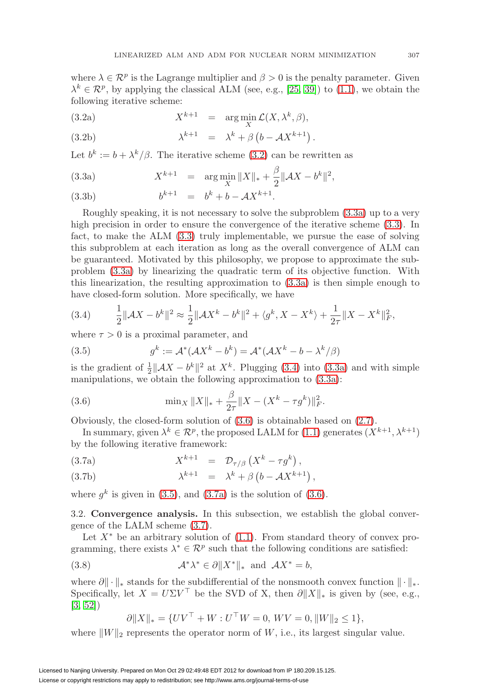where  $\lambda \in \mathcal{R}^p$  is the Lagrange multiplier and  $\beta > 0$  is the penalty parameter. Given  $\lambda^k \in \mathcal{R}^p$ , by applying the classical ALM (see, e.g., [\[25,](#page-27-5) [39\]](#page-27-6)) to [\(1.1\)](#page-0-0), we obtain the following iterative scheme:

<span id="page-6-0"></span>(3.2a) 
$$
X^{k+1} = \arg \min_{X} \mathcal{L}(X, \lambda^k, \beta),
$$

<span id="page-6-2"></span>(3.2b) 
$$
\lambda^{k+1} = \lambda^k + \beta \left( b - \mathcal{A} X^{k+1} \right).
$$

Let  $b^k := b + \lambda^k/\beta$ . The iterative scheme [\(3.2\)](#page-6-0) can be rewritten as

<span id="page-6-1"></span>(3.3a) 
$$
X^{k+1} = \arg \min_{X} \|X\|_{*} + \frac{\beta}{2} \|\mathcal{A}X - b^{k}\|^{2},
$$

(3.3b) 
$$
b^{k+1} = b^k + b - \mathcal{A}X^{k+1}.
$$

Roughly speaking, it is not necessary to solve the subproblem [\(3.3a\)](#page-6-1) up to a very high precision in order to ensure the convergence of the iterative scheme [\(3.3\)](#page-6-2). In fact, to make the ALM [\(3.3\)](#page-6-2) truly implementable, we pursue the ease of solving this subproblem at each iteration as long as the overall convergence of ALM can be guaranteed. Motivated by this philosophy, we propose to approximate the subproblem [\(3.3a\)](#page-6-1) by linearizing the quadratic term of its objective function. With this linearization, the resulting approximation to [\(3.3a\)](#page-6-1) is then simple enough to have closed-form solution. More specifically, we have

<span id="page-6-3"></span>
$$
(3.4) \qquad \frac{1}{2} \|\mathcal{A}X - b^k\|^2 \approx \frac{1}{2} \|\mathcal{A}X^k - b^k\|^2 + \langle g^k, X - X^k \rangle + \frac{1}{2\tau} \|X - X^k\|_F^2,
$$

where  $\tau > 0$  is a proximal parameter, and

<span id="page-6-5"></span>(3.5) 
$$
g^k := \mathcal{A}^*(\mathcal{A}X^k - b^k) = \mathcal{A}^*(\mathcal{A}X^k - b - \lambda^k/\beta)
$$

is the gradient of  $\frac{1}{2} \|\mathcal{A}X - b^k\|^2$  at  $X^k$ . Plugging [\(3.4\)](#page-6-3) into [\(3.3a\)](#page-6-1) and with simple manipulations, we obtain the following approximation to [\(3.3a\)](#page-6-1):

<span id="page-6-4"></span>(3.6) 
$$
\min_X \|X\|_* + \frac{\beta}{2\tau} \|X - (X^k - \tau g^k)\|_F^2.
$$

Obviously, the closed-form solution of [\(3.6\)](#page-6-4) is obtainable based on [\(2.7\)](#page-4-2).

In summary, given  $\lambda^k \in \mathcal{R}^p$ , the proposed LALM for [\(1.1\)](#page-0-0) generates  $(X^{k+1}, \lambda^{k+1})$ by the following iterative framework:

<span id="page-6-7"></span><span id="page-6-6"></span>(3.7a) 
$$
X^{k+1} = \mathcal{D}_{\tau/\beta} (X^k - \tau g^k),
$$

(3.7b) 
$$
\lambda^{k+1} = \lambda^k + \beta \left( b - \mathcal{A} X^{k+1} \right),
$$

where  $q^k$  is given in [\(3.5\)](#page-6-5), and [\(3.7a\)](#page-6-6) is the solution of [\(3.6\)](#page-6-4).

3.2. **Convergence analysis.** In this subsection, we establish the global convergence of the LALM scheme [\(3.7\)](#page-6-7).

Let  $X^*$  be an arbitrary solution of  $(1.1)$ . From standard theory of convex programming, there exists  $\lambda^* \in \mathcal{R}^p$  such that the following conditions are satisfied:

<span id="page-6-8"></span>(3.8) 
$$
\mathcal{A}^*\lambda^* \in \partial \|X^*\|_* \text{ and } \mathcal{A}X^* = b,
$$

where  $\partial\|\cdot\|_*$  stands for the subdifferential of the nonsmooth convex function  $\|\cdot\|_*.$ Specifically, let  $X = U\Sigma V^{\top}$  be the SVD of X, then  $\partial ||X||_{*}$  is given by (see, e.g., [\[3,](#page-26-16) [52\]](#page-28-12))

$$
\partial \|X\|_{*} = \{UV^{\top} + W : U^{\top}W = 0, \, WV = 0, \|W\|_{2} \le 1\},\
$$

where  $||W||_2$  represents the operator norm of W, i.e., its largest singular value.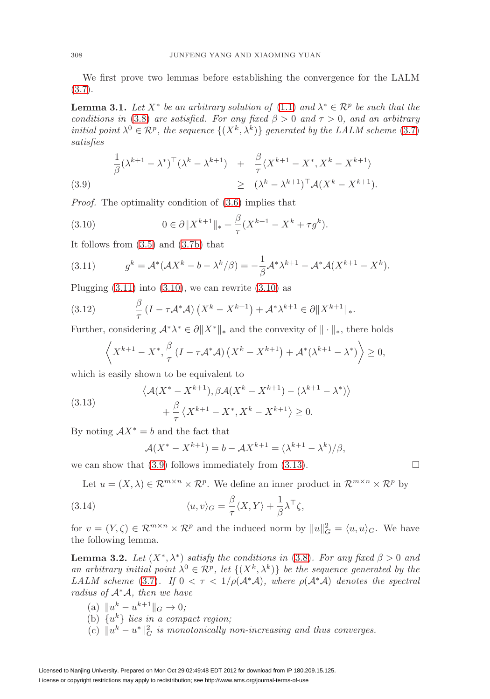We first prove two lemmas before establishing the convergence for the LALM  $(3.7).$  $(3.7).$ 

<span id="page-7-7"></span>**Lemma 3.1.** Let  $X^*$  be an arbitrary solution of [\(1.1\)](#page-0-0) and  $\lambda^* \in \mathcal{R}^p$  be such that the conditions in [\(3.8\)](#page-6-8) are satisfied. For any fixed  $\beta > 0$  and  $\tau > 0$ , and an arbitrary initial point  $\lambda^0 \in \mathcal{R}^p$ , the sequence  $\{(X^k, \lambda^k)\}\)$  generated by the LALM scheme [\(3.7\)](#page-6-7) satisfies

<span id="page-7-2"></span>
$$
\frac{1}{\beta}(\lambda^{k+1} - \lambda^*)^\top (\lambda^k - \lambda^{k+1}) + \frac{\beta}{\tau} \langle X^{k+1} - X^*, X^k - X^{k+1} \rangle
$$
\n
$$
\geq (\lambda^k - \lambda^{k+1})^\top \mathcal{A} (X^k - X^{k+1}).
$$
\n(3.9)

Proof. The optimality condition of [\(3.6\)](#page-6-4) implies that

<span id="page-7-1"></span>(3.10) 
$$
0 \in \partial \|X^{k+1}\|_* + \frac{\beta}{\tau} (X^{k+1} - X^k + \tau g^k).
$$

It follows from [\(3.5\)](#page-6-5) and [\(3.7b\)](#page-6-6) that

<span id="page-7-0"></span>(3.11) 
$$
g^k = \mathcal{A}^*(\mathcal{A}X^k - b - \lambda^k/\beta) = -\frac{1}{\beta}\mathcal{A}^*\lambda^{k+1} - \mathcal{A}^*\mathcal{A}(X^{k+1} - X^k).
$$

Plugging  $(3.11)$  into  $(3.10)$ , we can rewrite  $(3.10)$  as

<span id="page-7-6"></span>(3.12) 
$$
\frac{\beta}{\tau}(I - \tau \mathcal{A}^*\mathcal{A})\left(X^k - X^{k+1}\right) + \mathcal{A}^*\lambda^{k+1} \in \partial \|X^{k+1}\|_*.
$$

Further, considering  $\mathcal{A}^*\lambda^* \in \partial \|X^*\|_*$  and the convexity of  $\|\cdot\|_*$ , there holds

$$
\left\langle X^{k+1} - X^*, \frac{\beta}{\tau} \left( I - \tau \mathcal{A}^* \mathcal{A} \right) \left( X^k - X^{k+1} \right) + \mathcal{A}^* (\lambda^{k+1} - \lambda^*) \right\rangle \ge 0,
$$

which is easily shown to be equivalent to

<span id="page-7-3"></span>(3.13) 
$$
\langle \mathcal{A}(X^* - X^{k+1}), \beta \mathcal{A}(X^k - X^{k+1}) - (\lambda^{k+1} - \lambda^*) \rangle + \frac{\beta}{\tau} \langle X^{k+1} - X^*, X^k - X^{k+1} \rangle \ge 0.
$$

By noting  $AX^* = b$  and the fact that

$$
\mathcal{A}(X^* - X^{k+1}) = b - \mathcal{A}X^{k+1} = (\lambda^{k+1} - \lambda^k)/\beta,
$$

we can show that  $(3.9)$  follows immediately from  $(3.13)$ .

Let  $u = (X, \lambda) \in \mathbb{R}^{m \times n} \times \mathbb{R}^p$ . We define an inner product in  $\mathbb{R}^{m \times n} \times \mathbb{R}^p$  by

<span id="page-7-4"></span>(3.14) 
$$
\langle u, v \rangle_G = \frac{\beta}{\tau} \langle X, Y \rangle + \frac{1}{\beta} \lambda^\top \zeta,
$$

for  $v = (Y, \zeta) \in \mathcal{R}^{m \times n} \times \mathcal{R}^p$  and the induced norm by  $||u||_G^2 = \langle u, u \rangle_G$ . We have the following lemma.

<span id="page-7-5"></span>**Lemma 3.2.** Let  $(X^*, \lambda^*)$  satisfy the conditions in [\(3.8\)](#page-6-8). For any fixed  $\beta > 0$  and an arbitrary initial point  $\lambda^0 \in \mathcal{R}^p$ , let  $\{(X^k, \lambda^k)\}\$ be the sequence generated by the LALM scheme [\(3.7\)](#page-6-7). If  $0 < \tau < 1/\rho(\mathcal{A}^*\mathcal{A})$ , where  $\rho(\mathcal{A}^*\mathcal{A})$  denotes the spectral radius of  $A^*A$ , then we have

(a)  $||u^k - u^{k+1}||_G \to 0;$ (b)  $\{u^k\}$  lies in a compact region; (c)  $||u^k - u^*||_G^2$  is monotonically non-increasing and thus converges.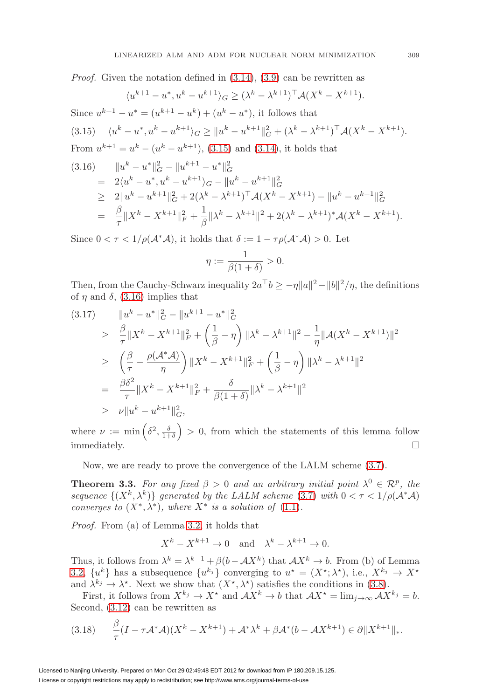Proof. Given the notation defined in [\(3.14\)](#page-7-4), [\(3.9\)](#page-7-2) can be rewritten as

<span id="page-8-1"></span><span id="page-8-0"></span>
$$
\langle u^{k+1} - u^*, u^k - u^{k+1} \rangle_G \ge (\lambda^k - \lambda^{k+1})^\top \mathcal{A}(X^k - X^{k+1}).
$$
  
Since  $u^{k+1} - u^* = (u^{k+1} - u^k) + (u^k - u^*),$  it follows that  
(3.15) 
$$
\langle u^k - u^*, u^k - u^{k+1} \rangle_G \ge ||u^k - u^{k+1}||_G^2 + (\lambda^k - \lambda^{k+1})^\top \mathcal{A}(X^k - X^{k+1}).
$$
  
From  $u^{k+1} = u^k - (u^k - u^{k+1}),$  (3.15) and (3.14), it holds that  
(3.16) 
$$
||u^k - u^*||_G^2 - ||u^{k+1} - u^*||_G^2
$$

$$
= 2\langle u^k - u^*, u^k - u^{k+1} \rangle_G - ||u^k - u^{k+1}||_G^2
$$

$$
\ge 2||u^k - u^{k+1}||_G^2 + 2(\lambda^k - \lambda^{k+1})^\top \mathcal{A}(X^k - X^{k+1}) - ||u^k - u^{k+1}||_G^2
$$

$$
= \frac{\beta}{\tau}||X^k - X^{k+1}||_F^2 + \frac{1}{\beta}||\lambda^k - \lambda^{k+1}||^2 + 2(\lambda^k - \lambda^{k+1})^* \mathcal{A}(X^k - X^{k+1}).
$$

Since  $0 < \tau < 1/\rho(\mathcal{A}^*\mathcal{A})$ , it holds that  $\delta := 1 - \tau \rho(\mathcal{A}^*\mathcal{A}) > 0$ . Let

$$
\eta := \frac{1}{\beta(1+\delta)} > 0.
$$

Then, from the Cauchy-Schwarz inequality  $2a^{\top}b \geq -\eta ||a||^2 - ||b||^2/\eta$ , the definitions of  $\eta$  and  $\delta$ , [\(3.16\)](#page-8-1) implies that

<span id="page-8-3"></span>
$$
(3.17) \qquad \|u^{k} - u^{*}\|_{G}^{2} - \|u^{k+1} - u^{*}\|_{G}^{2}
$$
\n
$$
\geq \frac{\beta}{\tau} \|X^{k} - X^{k+1}\|_{F}^{2} + \left(\frac{1}{\beta} - \eta\right) \|\lambda^{k} - \lambda^{k+1}\|^{2} - \frac{1}{\eta} \|\mathcal{A}(X^{k} - X^{k+1})\|^{2}
$$
\n
$$
\geq \left(\frac{\beta}{\tau} - \frac{\rho(\mathcal{A}^{*}\mathcal{A})}{\eta}\right) \|X^{k} - X^{k+1}\|_{F}^{2} + \left(\frac{1}{\beta} - \eta\right) \|\lambda^{k} - \lambda^{k+1}\|^{2}
$$
\n
$$
= \frac{\beta \delta^{2}}{\tau} \|X^{k} - X^{k+1}\|_{F}^{2} + \frac{\delta}{\beta(1+\delta)} \|\lambda^{k} - \lambda^{k+1}\|^{2}
$$
\n
$$
\geq \nu \|u^{k} - u^{k+1}\|_{G}^{2},
$$

where  $\nu := \min\left(\delta^2, \frac{\delta}{1+\delta}\right) > 0$ , from which the statements of this lemma follow immediately.  $\hfill \square$ 

Now, we are ready to prove the convergence of the LALM scheme [\(3.7\)](#page-6-7).

<span id="page-8-4"></span>**Theorem 3.3.** For any fixed  $\beta > 0$  and an arbitrary initial point  $\lambda^0 \in \mathbb{R}^p$ , the sequence  $\{(X^k, \lambda^k)\}\$  generated by the LALM scheme [\(3.7\)](#page-6-7) with  $0 < \tau < 1/\rho(\mathcal{A}^*\mathcal{A})$ converges to  $(X^*, \lambda^*)$ , where  $X^*$  is a solution of [\(1.1\)](#page-0-0).

Proof. From (a) of Lemma [3.2,](#page-7-5) it holds that

$$
X^k - X^{k+1} \to 0 \quad \text{and} \quad \lambda^k - \lambda^{k+1} \to 0.
$$

Thus, it follows from  $\lambda^k = \lambda^{k-1} + \beta(b - \mathcal{A}X^k)$  that  $\mathcal{A}X^k \to b$ . From (b) of Lemma [3.2,](#page-7-5)  $\{u^k\}$  has a subsequence  $\{u^{k_j}\}$  converging to  $u^* = (X^*, \lambda^*)$ , i.e.,  $X^{k_j} \to X^*$ and  $\lambda^{k_j} \to \lambda^*$ . Next we show that  $(X^*, \lambda^*)$  satisfies the conditions in [\(3.8\)](#page-6-8).

First, it follows from  $X^{k_j} \to X^*$  and  $\mathcal{A}X^k \to b$  that  $\mathcal{A}X^* = \lim_{j \to \infty} \mathcal{A}X^{k_j} = b$ . Second, [\(3.12\)](#page-7-6) can be rewritten as

<span id="page-8-2"></span>
$$
(3.18) \qquad \frac{\beta}{\tau}(I - \tau \mathcal{A}^* \mathcal{A})(X^k - X^{k+1}) + \mathcal{A}^* \lambda^k + \beta \mathcal{A}^*(b - \mathcal{A} X^{k+1}) \in \partial \|X^{k+1}\|_*.
$$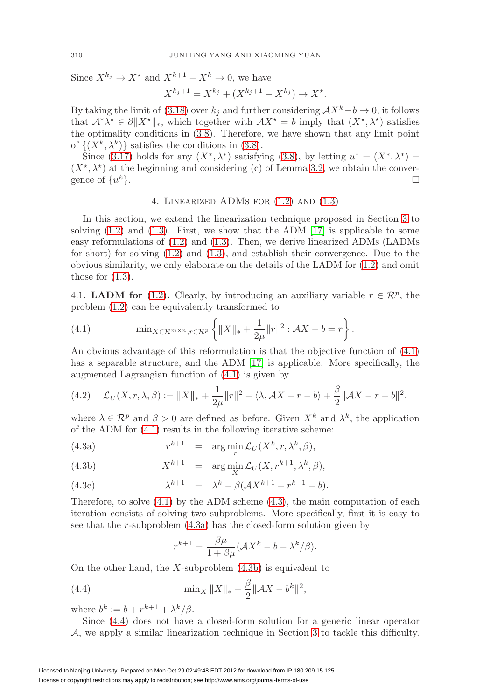Since  $X^{k_j} \to X^*$  and  $X^{k+1} - X^k \to 0$ , we have

$$
X^{k_j+1} = X^{k_j} + (X^{k_j+1} - X^{k_j}) \to X^*.
$$

By taking the limit of [\(3.18\)](#page-8-2) over  $k_j$  and further considering  $\mathcal{A}X^k-b\to 0$ , it follows that  $\mathcal{A}^*\lambda^* \in \partial \|X^*\|_*$ , which together with  $\mathcal{A}X^* = b$  imply that  $(X^*, \lambda^*)$  satisfies the optimality conditions in [\(3.8\)](#page-6-8). Therefore, we have shown that any limit point of  $\{(X^k, \lambda^k)\}\$  satisfies the conditions in [\(3.8\)](#page-6-8).

Since [\(3.17\)](#page-8-3) holds for any  $(X^*, \lambda^*)$  satisfying [\(3.8\)](#page-6-8), by letting  $u^* = (X^*, \lambda^*)$  $(X^*, \lambda^*)$  at the beginning and considering (c) of Lemma [3.2,](#page-7-5) we obtain the convergence of  $\{u^k\}$ .

### 4. Linearized ADMs for [\(1.2\)](#page-1-0) and [\(1.3\)](#page-1-1)

<span id="page-9-0"></span>In this section, we extend the linearization technique proposed in Section [3](#page-5-0) to solving  $(1.2)$  and  $(1.3)$ . First, we show that the ADM  $|17|$  is applicable to some easy reformulations of [\(1.2\)](#page-1-0) and [\(1.3\)](#page-1-1). Then, we derive linearized ADMs (LADMs for short) for solving [\(1.2\)](#page-1-0) and [\(1.3\)](#page-1-1), and establish their convergence. Due to the obvious similarity, we only elaborate on the details of the LADM for [\(1.2\)](#page-1-0) and omit those for  $(1.3)$ .

4.1. **LADM for** [\(1.2\)](#page-1-0). Clearly, by introducing an auxiliary variable  $r \in \mathbb{R}^p$ , the problem [\(1.2\)](#page-1-0) can be equivalently transformed to

<span id="page-9-1"></span>(4.1) 
$$
\min_{X \in \mathcal{R}^{m \times n}, r \in \mathcal{R}^p} \left\{ \|X\|_{*} + \frac{1}{2\mu} \|r\|^2 : \mathcal{A}X - b = r \right\}.
$$

An obvious advantage of this reformulation is that the objective function of [\(4.1\)](#page-9-1) has a separable structure, and the ADM [\[17\]](#page-26-6) is applicable. More specifically, the augmented Lagrangian function of [\(4.1\)](#page-9-1) is given by

(4.2) 
$$
\mathcal{L}_U(X, r, \lambda, \beta) := \|X\|_{*} + \frac{1}{2\mu} \|r\|^2 - \langle \lambda, \mathcal{A}X - r - b \rangle + \frac{\beta}{2} \|\mathcal{A}X - r - b\|^2,
$$

where  $\lambda \in \mathcal{R}^p$  and  $\beta > 0$  are defined as before. Given  $X^k$  and  $\lambda^k$ , the application of the ADM for [\(4.1\)](#page-9-1) results in the following iterative scheme:

<span id="page-9-3"></span>(4.3a) 
$$
r^{k+1} = \arg\min_r \mathcal{L}_U(X^k, r, \lambda^k, \beta),
$$

(4.3b) 
$$
X^{k+1} = \arg\min_{X} \mathcal{L}_U(X, r^{k+1}, \lambda^k, \beta),
$$

(4.3c) 
$$
\lambda^{k+1} = \lambda^k - \beta(\mathcal{A}X^{k+1} - r^{k+1} - b).
$$

Therefore, to solve  $(4.1)$  by the ADM scheme  $(4.3)$ , the main computation of each iteration consists of solving two subproblems. More specifically, first it is easy to see that the r-subproblem  $(4.3a)$  has the closed-form solution given by

<span id="page-9-2"></span>
$$
r^{k+1} = \frac{\beta \mu}{1 + \beta \mu} (\mathcal{A}X^k - b - \lambda^k/\beta).
$$

On the other hand, the X-subproblem  $(4.3b)$  is equivalent to

<span id="page-9-4"></span>(4.4) 
$$
\min_X \|X\|_* + \frac{\beta}{2} \|\mathcal{A}X - b^k\|^2,
$$

where  $b^k := b + r^{k+1} + \lambda^k/\beta$ .

Since [\(4.4\)](#page-9-4) does not have a closed-form solution for a generic linear operator A, we apply a similar linearization technique in Section [3](#page-5-0) to tackle this difficulty.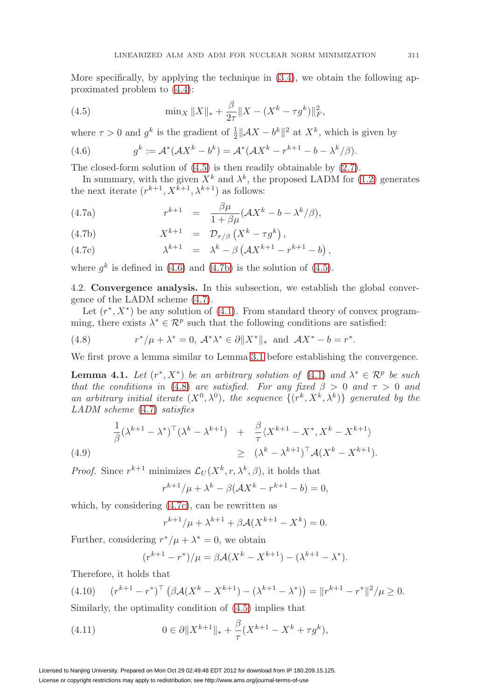More specifically, by applying the technique in  $(3.4)$ , we obtain the following approximated problem to [\(4.4\)](#page-9-4):

<span id="page-10-0"></span>(4.5) 
$$
\min_X \|X\|_* + \frac{\beta}{2\tau} \|X - (X^k - \tau g^k)\|_F^2,
$$

where  $\tau > 0$  and  $g^k$  is the gradient of  $\frac{1}{2} ||AX - b^k||^2$  at  $X^k$ , which is given by

<span id="page-10-1"></span>(4.6) 
$$
g^k := \mathcal{A}^*(AX^k - b^k) = \mathcal{A}^*(AX^k - r^{k+1} - b - \lambda^k/\beta).
$$

The closed-form solution of [\(4.5\)](#page-10-0) is then readily obtainable by [\(2.7\)](#page-4-2).

In summary, with the given  $X^k$  and  $\lambda^k$ , the proposed LADM for [\(1.2\)](#page-1-0) generates the next iterate  $(r^{k+1}, X^{k+1}, \lambda^{k+1})$  as follows:

<span id="page-10-3"></span><span id="page-10-2"></span>(4.7a) 
$$
r^{k+1} = \frac{\beta \mu}{1 + \beta \mu} (\mathcal{A}X^k - b - \lambda^k/\beta),
$$

(4.7b) 
$$
X^{k+1} = \mathcal{D}_{\tau/\beta} (X^k - \tau g^k),
$$

(4.7c) 
$$
\lambda^{k+1} = \lambda^k - \beta \left( \mathcal{A} X^{k+1} - r^{k+1} - b \right),
$$

where  $q^k$  is defined in [\(4.6\)](#page-10-1) and [\(4.7b\)](#page-10-2) is the solution of [\(4.5\)](#page-10-0).

4.2. **Convergence analysis.** In this subsection, we establish the global convergence of the LADM scheme [\(4.7\)](#page-10-3).

Let  $(r^*, X^*)$  be any solution of [\(4.1\)](#page-9-1). From standard theory of convex programming, there exists  $\lambda^* \in \mathcal{R}^p$  such that the following conditions are satisfied:

<span id="page-10-4"></span>(4.8) 
$$
r^*/\mu + \lambda^* = 0, \ \mathcal{A}^*\lambda^* \in \partial \|X^*\|_* \ \text{ and } \ \mathcal{A}X^* - b = r^*.
$$

We first prove a lemma similar to Lemma [3.1](#page-7-7) before establishing the convergence.

**Lemma 4.1.** Let  $(r^*, X^*)$  be an arbitrary solution of [\(4.1\)](#page-9-1) and  $\lambda^* \in \mathcal{R}^p$  be such that the conditions in [\(4.8\)](#page-10-4) are satisfied. For any fixed  $\beta > 0$  and  $\tau > 0$  and an arbitrary initial iterate  $(X^0, \lambda^0)$ , the sequence  $\{(r^k, X^k, \lambda^k)\}\$  generated by the LADM scheme [\(4.7\)](#page-10-3) satisfies

<span id="page-10-7"></span>(4.9)  
\n
$$
\frac{1}{\beta} (\lambda^{k+1} - \lambda^*)^{\top} (\lambda^k - \lambda^{k+1}) + \frac{\beta}{\tau} \langle X^{k+1} - X^*, X^k - X^{k+1} \rangle
$$
\n
$$
\geq (\lambda^k - \lambda^{k+1})^{\top} \mathcal{A} (X^k - X^{k+1}).
$$

*Proof.* Since  $r^{k+1}$  minimizes  $\mathcal{L}_U(X^k, r, \lambda^k, \beta)$ , it holds that

$$
r^{k+1}/\mu + \lambda^k - \beta(\mathcal{A}X^k - r^{k+1} - b) = 0,
$$

which, by considering [\(4.7c\)](#page-10-2), can be rewritten as

$$
r^{k+1}/\mu + \lambda^{k+1} + \beta \mathcal{A}(X^{k+1} - X^k) = 0.
$$

Further, considering  $r^*/\mu + \lambda^* = 0$ , we obtain

$$
(r^{k+1} - r^*)/\mu = \beta \mathcal{A}(X^k - X^{k+1}) - (\lambda^{k+1} - \lambda^*).
$$

Therefore, it holds that

<span id="page-10-6"></span>
$$
(4.10) \t(r^{k+1} - r^*)^{\top} \left( \beta \mathcal{A} (X^k - X^{k+1}) - (\lambda^{k+1} - \lambda^*) \right) = ||r^{k+1} - r^*||^2 / \mu \ge 0.
$$

Similarly, the optimality condition of [\(4.5\)](#page-10-0) implies that

<span id="page-10-5"></span>(4.11) 
$$
0 \in \partial \|X^{k+1}\|_{*} + \frac{\beta}{\tau} (X^{k+1} - X^k + \tau g^k),
$$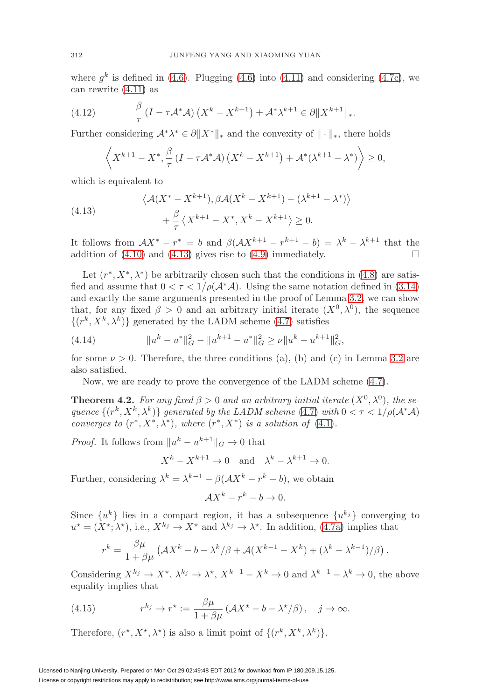where  $q^k$  is defined in [\(4.6\)](#page-10-1). Plugging (4.6) into [\(4.11\)](#page-10-5) and considering [\(4.7c\)](#page-10-2), we can rewrite [\(4.11\)](#page-10-5) as

<span id="page-11-2"></span>(4.12) 
$$
\frac{\beta}{\tau} (I - \tau \mathcal{A}^* \mathcal{A}) (X^k - X^{k+1}) + \mathcal{A}^* \lambda^{k+1} \in \partial \|X^{k+1}\|_*.
$$

Further considering  $\mathcal{A}^*\lambda^* \in \partial \|X^*\|_*$  and the convexity of  $\|\cdot\|_*$ , there holds

$$
\left\langle X^{k+1} - X^*, \frac{\beta}{\tau} \left( I - \tau \mathcal{A}^* \mathcal{A} \right) \left( X^k - X^{k+1} \right) + \mathcal{A}^* (\lambda^{k+1} - \lambda^*) \right\rangle \geq 0,
$$

which is equivalent to

<span id="page-11-0"></span>(4.13) 
$$
\langle \mathcal{A}(X^* - X^{k+1}), \beta \mathcal{A}(X^k - X^{k+1}) - (\lambda^{k+1} - \lambda^*) \rangle + \frac{\beta}{\tau} \langle X^{k+1} - X^*, X^k - X^{k+1} \rangle \ge 0.
$$

It follows from  $AX^* - r^* = b$  and  $\beta(\mathcal{A}X^{k+1} - r^{k+1} - b) = \lambda^k - \lambda^{k+1}$  that the addition of  $(4.10)$  and  $(4.13)$  gives rise to  $(4.9)$  immediately.

Let  $(r^*, X^*, \lambda^*)$  be arbitrarily chosen such that the conditions in [\(4.8\)](#page-10-4) are satisfied and assume that  $0 < \tau < 1/\rho(\mathcal{A}^*\mathcal{A})$ . Using the same notation defined in [\(3.14\)](#page-7-4) and exactly the same arguments presented in the proof of Lemma [3.2,](#page-7-5) we can show that, for any fixed  $\beta > 0$  and an arbitrary initial iterate  $(X^0, \lambda^0)$ , the sequence  $\{(r^k, X^k, \lambda^k)\}\)$ generated by the LADM scheme [\(4.7\)](#page-10-3) satisfies

<span id="page-11-3"></span>(4.14) 
$$
||u^k - u^*||_G^2 - ||u^{k+1} - u^*||_G^2 \ge \nu ||u^k - u^{k+1}||_G^2,
$$

for some  $\nu > 0$ . Therefore, the three conditions (a), (b) and (c) in Lemma [3.2](#page-7-5) are also satisfied.

Now, we are ready to prove the convergence of the LADM scheme [\(4.7\)](#page-10-3).

<span id="page-11-4"></span>**Theorem 4.2.** For any fixed  $\beta > 0$  and an arbitrary initial iterate  $(X^0, \lambda^0)$ , the sequence  $\{(r^k, X^k, \lambda^k)\}\$  generated by the LADM scheme [\(4.7\)](#page-10-3) with  $0 < \tau < 1/\rho(\mathcal{A}^*\mathcal{A})$ converges to  $(r^*, X^*, \lambda^*)$ , where  $(r^*, X^*)$  is a solution of [\(4.1\)](#page-9-1).

*Proof.* It follows from  $||u^k - u^{k+1}||_G \to 0$  that

 $X^{k} - X^{k+1} \to 0$  and  $\lambda^{k} - \lambda^{k+1} \to 0$ .

Further, considering  $\lambda^k = \lambda^{k-1} - \beta(\mathcal{A}X^k - r^k - b)$ , we obtain

$$
\mathcal{A}X^k - r^k - b \to 0.
$$

Since  $\{u^k\}$  lies in a compact region, it has a subsequence  $\{u^{k_j}\}\$ converging to  $u^* = (X^*, \lambda^*),$  i.e.,  $X^{k_j} \to X^*$  and  $\lambda^{k_j} \to \lambda^*$ . In addition, [\(4.7a\)](#page-10-2) implies that

$$
r^{k} = \frac{\beta\mu}{1+\beta\mu} \left( \mathcal{A}X^{k} - b - \lambda^{k}/\beta + \mathcal{A}(X^{k-1} - X^{k}) + (\lambda^{k} - \lambda^{k-1})/\beta \right).
$$

Considering  $X^{k_j} \to X^*$ ,  $\lambda^{k_j} \to \lambda^*$ ,  $X^{k-1} - X^k \to 0$  and  $\lambda^{k-1} - \lambda^k \to 0$ , the above equality implies that

<span id="page-11-1"></span>(4.15) 
$$
r^{k_j} \to r^* := \frac{\beta \mu}{1 + \beta \mu} \left( \mathcal{A} X^* - b - \lambda^* / \beta \right), \quad j \to \infty.
$$

Therefore,  $(r^*, X^*, \lambda^*)$  is also a limit point of  $\{(r^k, X^k, \lambda^k)\}.$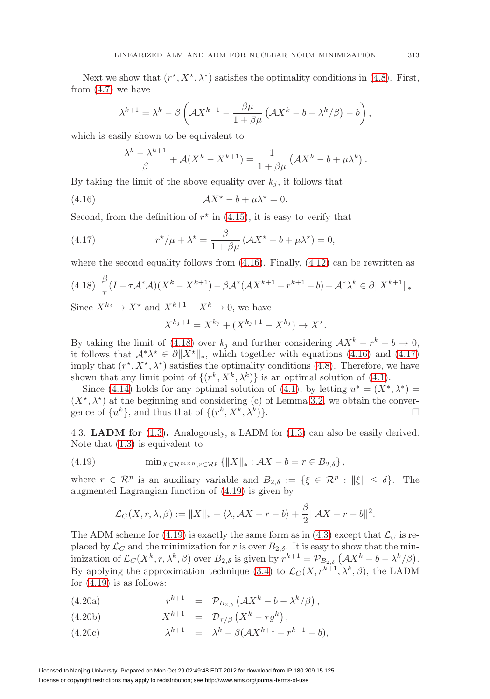Next we show that  $(r^*, X^*, \lambda^*)$  satisfies the optimality conditions in [\(4.8\)](#page-10-4). First, from  $(4.7)$  we have

$$
\lambda^{k+1} = \lambda^k - \beta \left( \mathcal{A} X^{k+1} - \frac{\beta \mu}{1 + \beta \mu} \left( \mathcal{A} X^k - b - \lambda^k / \beta \right) - b \right),
$$

which is easily shown to be equivalent to

$$
\frac{\lambda^k - \lambda^{k+1}}{\beta} + \mathcal{A}(X^k - X^{k+1}) = \frac{1}{1 + \beta\mu} \left(\mathcal{A}X^k - b + \mu\lambda^k\right).
$$

By taking the limit of the above equality over  $k_i$ , it follows that

<span id="page-12-0"></span>(4.16) 
$$
\mathcal{A}X^* - b + \mu \lambda^* = 0.
$$

Second, from the definition of  $r^*$  in [\(4.15\)](#page-11-1), it is easy to verify that

<span id="page-12-2"></span>(4.17) 
$$
r^{\star}/\mu + \lambda^{\star} = \frac{\beta}{1 + \beta\mu} \left( \mathcal{A}X^{\star} - b + \mu\lambda^{\star} \right) = 0,
$$

where the second equality follows from  $(4.16)$ . Finally,  $(4.12)$  can be rewritten as

<span id="page-12-1"></span>
$$
(4.18)\ \ \frac{\beta}{\tau}(I-\tau \mathcal{A}^* \mathcal{A})(X^k - X^{k+1}) - \beta \mathcal{A}^* (\mathcal{A} X^{k+1} - r^{k+1} - b) + \mathcal{A}^* \lambda^k \in \partial \|X^{k+1}\|_*.
$$

Since  $X^{k_j} \to X^*$  and  $X^{k+1} - X^k \to 0$ , we have

$$
X^{k_j+1} = X^{k_j} + (X^{k_j+1} - X^{k_j}) \to X^*.
$$

By taking the limit of [\(4.18\)](#page-12-1) over  $k_j$  and further considering  $\mathcal{A}X^k - r^k - b \to 0$ , it follows that  $\mathcal{A}^*\lambda^* \in \partial \|X^*\|_*$ , which together with equations [\(4.16\)](#page-12-0) and [\(4.17\)](#page-12-2) imply that  $(r^*, X^*, \lambda^*)$  satisfies the optimality conditions [\(4.8\)](#page-10-4). Therefore, we have shown that any limit point of  $\{(r^k, X^k, \lambda^k)\}\)$  is an optimal solution of [\(4.1\)](#page-9-1).

Since [\(4.14\)](#page-11-3) holds for any optimal solution of [\(4.1\)](#page-9-1), by letting  $u^* = (X^*, \lambda^*) =$  $(X^*, \lambda^*)$  at the beginning and considering (c) of Lemma [3.2,](#page-7-5) we obtain the convergence of  $\{u^k\}$ , and thus that of  $\{(r^k, X^k, \lambda^k)\}.$  $\Box$ 

4.3. **LADM for** [\(1.3\)](#page-1-1)**.** Analogously, a LADM for [\(1.3\)](#page-1-1) can also be easily derived. Note that [\(1.3\)](#page-1-1) is equivalent to

<span id="page-12-3"></span>(4.19) 
$$
\min_{X \in \mathcal{R}^{m \times n}, r \in \mathcal{R}^p} \{ \|X\|_* : \mathcal{A}X - b = r \in B_{2,\delta} \},
$$

where  $r \in \mathcal{R}^p$  is an auxiliary variable and  $B_{2,\delta} := \{ \xi \in \mathcal{R}^p : ||\xi|| \leq \delta \}.$  The augmented Lagrangian function of [\(4.19\)](#page-12-3) is given by

<span id="page-12-4"></span>
$$
\mathcal{L}_C(X,r,\lambda,\beta) := \|X\|_* - \langle \lambda, \mathcal{A}X - r - b \rangle + \frac{\beta}{2} \|\mathcal{A}X - r - b\|^2.
$$

The ADM scheme for [\(4.19\)](#page-12-3) is exactly the same form as in [\(4.3\)](#page-9-2) except that  $\mathcal{L}_U$  is replaced by  $\mathcal{L}_C$  and the minimization for r is over  $B_{2,\delta}$ . It is easy to show that the minimization of  $\mathcal{L}_C(X^k, r, \lambda^k, \beta)$  over  $B_{2,\delta}$  is given by  $r^{k+1} = \mathcal{P}_{B_{2,\delta}}(\mathcal{A}X^k - b - \lambda^k/\beta)$ . By applying the approximation technique [\(3.4\)](#page-6-3) to  $\mathcal{L}_C(X, r^{k+1}, \lambda^k, \beta)$ , the LADM for  $(4.19)$  is as follows:

(4.20a)  $r^{k+1} = \mathcal{P}_{B_{2,\delta}} (\mathcal{A}X^k - b - \lambda^k/\beta)$ ,

$$
(4.20b) \t\t Xk+1 = \mathcal{D}_{\tau/\beta} (Xk - \tau gk),
$$

$$
(4.20c) \qquad \lambda^{k+1} = \lambda^k - \beta(\mathcal{A}X^{k+1} - r^{k+1} - b),
$$

Licensed to Nanjing University. Prepared on Mon Oct 29 02:49:48 EDT 2012 for download from IP 180.209.15.125. License or copyright restrictions may apply to redistribution; see http://www.ams.org/journal-terms-of-use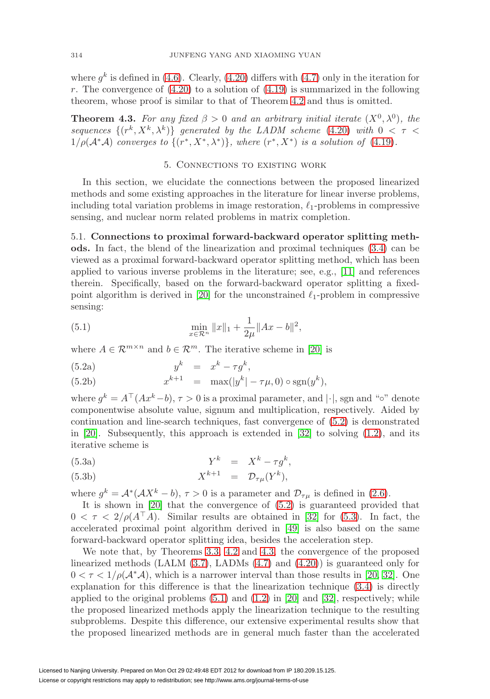where  $q^k$  is defined in [\(4.6\)](#page-10-1). Clearly, [\(4.20\)](#page-12-4) differs with [\(4.7\)](#page-10-3) only in the iteration for r. The convergence of  $(4.20)$  to a solution of  $(4.19)$  is summarized in the following theorem, whose proof is similar to that of Theorem [4.2](#page-11-4) and thus is omitted.

<span id="page-13-3"></span>**Theorem 4.3.** For any fixed  $\beta > 0$  and an arbitrary initial iterate  $(X^0, \lambda^0)$ , the sequences  $\{(r^k, X^k, \lambda^k)\}\$  generated by the LADM scheme [\(4.20\)](#page-12-4) with  $0 < \tau <$  $1/\rho(\mathcal{A}^*\mathcal{A})$  converges to  $\{(r^*, X^*, \lambda^*)\}$ , where  $(r^*, X^*)$  is a solution of [\(4.19\)](#page-12-3).

### <span id="page-13-1"></span>5. Connections to existing work

<span id="page-13-0"></span>In this section, we elucidate the connections between the proposed linearized methods and some existing approaches in the literature for linear inverse problems, including total variation problems in image restoration,  $\ell_1$ -problems in compressive sensing, and nuclear norm related problems in matrix completion.

5.1. **Connections to proximal forward-backward operator splitting methods.** In fact, the blend of the linearization and proximal techniques [\(3.4\)](#page-6-3) can be viewed as a proximal forward-backward operator splitting method, which has been applied to various inverse problems in the literature; see, e.g., [\[11\]](#page-26-17) and references therein. Specifically, based on the forward-backward operator splitting a fixed-point algorithm is derived in [\[20\]](#page-27-15) for the unconstrained  $\ell_1$ -problem in compressive sensing:

<span id="page-13-4"></span>(5.1) 
$$
\min_{x \in \mathcal{R}^n} ||x||_1 + \frac{1}{2\mu} ||Ax - b||^2,
$$

where  $A \in \mathcal{R}^{m \times n}$  and  $b \in \mathcal{R}^m$ . The iterative scheme in [\[20\]](#page-27-15) is

$$
(5.2a) \t\t y^k = x^k - \tau g^k,
$$

(5.2b) 
$$
x^{k+1} = \max(|y^k| - \tau \mu, 0) \circ \text{sgn}(y^k),
$$

where  $q^k = A^{\top} (Ax^k - b), \tau > 0$  is a proximal parameter, and  $|\cdot|$ , sgn and "∘" denote componentwise absolute value, signum and multiplication, respectively. Aided by continuation and line-search techniques, fast convergence of [\(5.2\)](#page-13-1) is demonstrated in [\[20\]](#page-27-15). Subsequently, this approach is extended in [\[32\]](#page-27-7) to solving  $(1.2)$ , and its iterative scheme is

<span id="page-13-2"></span>
$$
(5.3a) \tYk = Xk - \tau gk,
$$

(5.3b) 
$$
X^{k+1} = \mathcal{D}_{\tau\mu}(Y^k),
$$

where  $g^k = \mathcal{A}^*(\mathcal{A}X^k - b), \tau > 0$  is a parameter and  $\mathcal{D}_{\tau\mu}$  is defined in [\(2.6\)](#page-4-3).

It is shown in [\[20\]](#page-27-15) that the convergence of [\(5.2\)](#page-13-1) is guaranteed provided that  $0 < \tau < 2/\rho(A^{\dagger}A)$ . Similar results are obtained in [\[32\]](#page-27-7) for [\(5.3\)](#page-13-2). In fact, the accelerated proximal point algorithm derived in [\[49\]](#page-28-5) is also based on the same forward-backward operator splitting idea, besides the acceleration step.

We note that, by Theorems [3.3,](#page-8-4) [4.2](#page-11-4) and [4.3,](#page-13-3) the convergence of the proposed linearized methods (LALM [\(3.7\)](#page-6-7), LADMs [\(4.7\)](#page-10-3) and [\(4.20\)](#page-12-4)) is guaranteed only for  $0 < \tau < 1/\rho(\mathcal{A}^*\mathcal{A})$ , which is a narrower interval than those results in [\[20,](#page-27-15) [32\]](#page-27-7). One explanation for this difference is that the linearization technique [\(3.4\)](#page-6-3) is directly applied to the original problems  $(5.1)$  and  $(1.2)$  in  $[20]$  and  $[32]$ , respectively; while the proposed linearized methods apply the linearization technique to the resulting subproblems. Despite this difference, our extensive experimental results show that the proposed linearized methods are in general much faster than the accelerated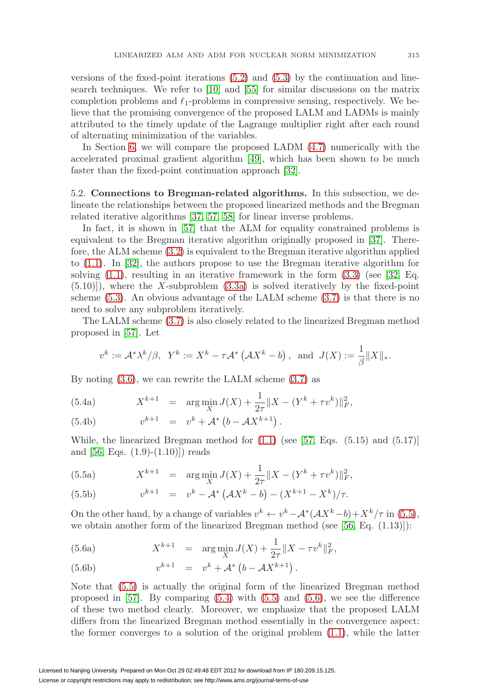versions of the fixed-point iterations  $(5.2)$  and  $(5.3)$  by the continuation and linesearch techniques. We refer to [\[10\]](#page-26-9) and [\[55\]](#page-28-7) for similar discussions on the matrix completion problems and  $\ell_1$ -problems in compressive sensing, respectively. We believe that the promising convergence of the proposed LALM and LADMs is mainly attributed to the timely update of the Lagrange multiplier right after each round of alternating minimization of the variables.

In Section [6,](#page-15-0) we will compare the proposed LADM [\(4.7\)](#page-10-3) numerically with the accelerated proximal gradient algorithm [\[49\]](#page-28-5), which has been shown to be much faster than the fixed-point continuation approach [\[32\]](#page-27-7).

5.2. **Connections to Bregman-related algorithms.** In this subsection, we delineate the relationships between the proposed linearized methods and the Bregman related iterative algorithms [\[37,](#page-27-16) [57,](#page-28-13) [58\]](#page-28-14) for linear inverse problems.

In fact, it is shown in [\[57\]](#page-28-13) that the ALM for equality constrained problems is equivalent to the Bregman iterative algorithm originally proposed in [\[37\]](#page-27-16). Therefore, the ALM scheme [\(3.2\)](#page-6-0) is equivalent to the Bregman iterative algorithm applied to [\(1.1\)](#page-0-0). In [\[32\]](#page-27-7), the authors propose to use the Bregman iterative algorithm for solving  $(1.1)$ , resulting in an iterative framework in the form  $(3.3)$  (see [\[32,](#page-27-7) Eq.  $(5.10)$ ), where the X-subproblem  $(3.3a)$  is solved iteratively by the fixed-point scheme [\(5.3\)](#page-13-2). An obvious advantage of the LALM scheme [\(3.7\)](#page-6-7) is that there is no need to solve any subproblem iteratively.

The LALM scheme [\(3.7\)](#page-6-7) is also closely related to the linearized Bregman method proposed in [\[57\]](#page-28-13). Let

<span id="page-14-1"></span>
$$
v^k:=\mathcal{A}^*\lambda^k/\beta, \ \ Y^k:=X^k-\tau\mathcal{A}^*\left(\mathcal{A}X^k-b\right), \ \ \text{and} \ \ J(X):=\frac{1}{\beta}\|X\|_*.
$$

By noting  $(3.6)$ , we can rewrite the LALM scheme  $(3.7)$  as

(5.4a) 
$$
X^{k+1} = \arg\min_{X} J(X) + \frac{1}{2\tau} ||X - (Y^k + \tau v^k)||_F^2,
$$

(5.4b) 
$$
v^{k+1} = v^k + A^* (b - AX^{k+1}).
$$

While, the linearized Bregman method for  $(1.1)$  (see [\[57,](#page-28-13) Eqs.  $(5.15)$  and  $(5.17)$ ] and  $[56, Eqs. (1.9)-(1.10)]$  $[56, Eqs. (1.9)-(1.10)]$  reads

<span id="page-14-0"></span>(5.5a) 
$$
X^{k+1} = \arg\min_{X} J(X) + \frac{1}{2\tau} ||X - (Y^k + \tau v^k)||_F^2,
$$

(5.5b) 
$$
v^{k+1} = v^k - A^* (AX^k - b) - (X^{k+1} - X^k) / \tau.
$$

On the other hand, by a change of variables  $v^k \leftarrow v^k - A^* (AX^k - b) + X^k / \tau$  in [\(5.5\)](#page-14-0), we obtain another form of the linearized Bregman method (see [\[56,](#page-28-15) Eq. (1.13)]):

<span id="page-14-2"></span>(5.6a) 
$$
X^{k+1} = \arg\min_{X} J(X) + \frac{1}{2\tau} \|X - \tau v^k\|_F^2,
$$

(5.6b) 
$$
v^{k+1} = v^k + A^* (b - AX^{k+1}).
$$

Note that [\(5.5\)](#page-14-0) is actually the original form of the linearized Bregman method proposed in  $[57]$ . By comparing  $(5.4)$  with  $(5.5)$  and  $(5.6)$ , we see the difference of these two method clearly. Moreover, we emphasize that the proposed LALM differs from the linearized Bregman method essentially in the convergence aspect: the former converges to a solution of the original problem [\(1.1\)](#page-0-0), while the latter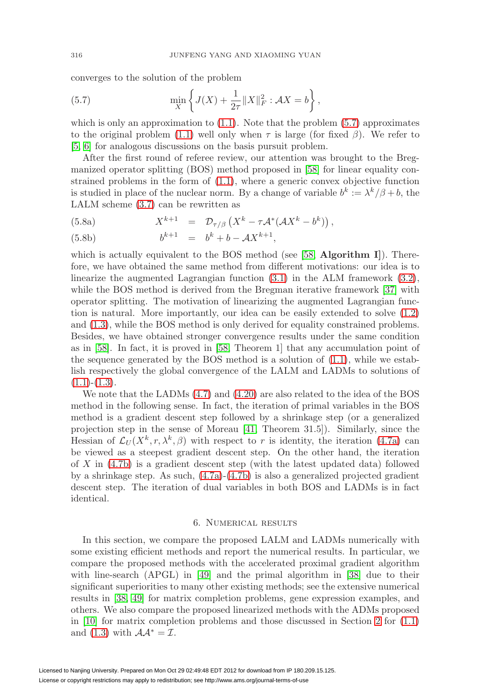converges to the solution of the problem

<span id="page-15-1"></span>(5.7) 
$$
\min_{X} \left\{ J(X) + \frac{1}{2\tau} \|X\|_{F}^{2} : \mathcal{A}X = b \right\},
$$

which is only an approximation to  $(1.1)$ . Note that the problem  $(5.7)$  approximates to the original problem [\(1.1\)](#page-0-0) well only when  $\tau$  is large (for fixed  $\beta$ ). We refer to [\[5,](#page-26-18) [6\]](#page-26-11) for analogous discussions on the basis pursuit problem.

After the first round of referee review, our attention was brought to the Bregmanized operator splitting (BOS) method proposed in [\[58\]](#page-28-14) for linear equality constrained problems in the form of [\(1.1\)](#page-0-0), where a generic convex objective function is studied in place of the nuclear norm. By a change of variable  $b^k := \lambda^k/\beta + b$ , the LALM scheme [\(3.7\)](#page-6-7) can be rewritten as

(5.8a) 
$$
X^{k+1} = \mathcal{D}_{\tau/\beta} (X^k - \tau \mathcal{A}^* (\mathcal{A} X^k - b^k)),
$$

(5.8b) 
$$
b^{k+1} = b^k + b - \mathcal{A}X^{k+1},
$$

which is actually equivalent to the BOS method (see [\[58,](#page-28-14) **Algorithm I**]). Therefore, we have obtained the same method from different motivations: our idea is to linearize the augmented Lagrangian function  $(3.1)$  in the ALM framework  $(3.2)$ , while the BOS method is derived from the Bregman iterative framework [\[37\]](#page-27-16) with operator splitting. The motivation of linearizing the augmented Lagrangian function is natural. More importantly, our idea can be easily extended to solve [\(1.2\)](#page-1-0) and [\(1.3\)](#page-1-1), while the BOS method is only derived for equality constrained problems. Besides, we have obtained stronger convergence results under the same condition as in [\[58\]](#page-28-14). In fact, it is proved in [\[58,](#page-28-14) Theorem 1] that any accumulation point of the sequence generated by the BOS method is a solution of [\(1.1\)](#page-0-0), while we establish respectively the global convergence of the LALM and LADMs to solutions of  $(1.1)-(1.3).$  $(1.1)-(1.3).$  $(1.1)-(1.3).$  $(1.1)-(1.3).$ 

We note that the LADMs [\(4.7\)](#page-10-3) and [\(4.20\)](#page-12-4) are also related to the idea of the BOS method in the following sense. In fact, the iteration of primal variables in the BOS method is a gradient descent step followed by a shrinkage step (or a generalized projection step in the sense of Moreau [\[41,](#page-27-17) Theorem 31.5]). Similarly, since the Hessian of  $\mathcal{L}_U(X^k, r, \lambda^k, \beta)$  with respect to r is identity, the iteration [\(4.7a\)](#page-10-2) can be viewed as a steepest gradient descent step. On the other hand, the iteration of X in [\(4.7b\)](#page-10-2) is a gradient descent step (with the latest updated data) followed by a shrinkage step. As such, [\(4.7a\)](#page-10-2)-[\(4.7b\)](#page-10-2) is also a generalized projected gradient descent step. The iteration of dual variables in both BOS and LADMs is in fact identical.

#### 6. Numerical results

<span id="page-15-0"></span>In this section, we compare the proposed LALM and LADMs numerically with some existing efficient methods and report the numerical results. In particular, we compare the proposed methods with the accelerated proximal gradient algorithm with line-search (APGL) in [\[49\]](#page-28-5) and the primal algorithm in [\[38\]](#page-27-2) due to their significant superiorities to many other existing methods; see the extensive numerical results in [\[38,](#page-27-2) [49\]](#page-28-5) for matrix completion problems, gene expression examples, and others. We also compare the proposed linearized methods with the ADMs proposed in [\[10\]](#page-26-9) for matrix completion problems and those discussed in Section [2](#page-3-0) for [\(1.1\)](#page-0-0) and [\(1.3\)](#page-1-1) with  $\mathcal{A} \mathcal{A}^* = \mathcal{I}$ .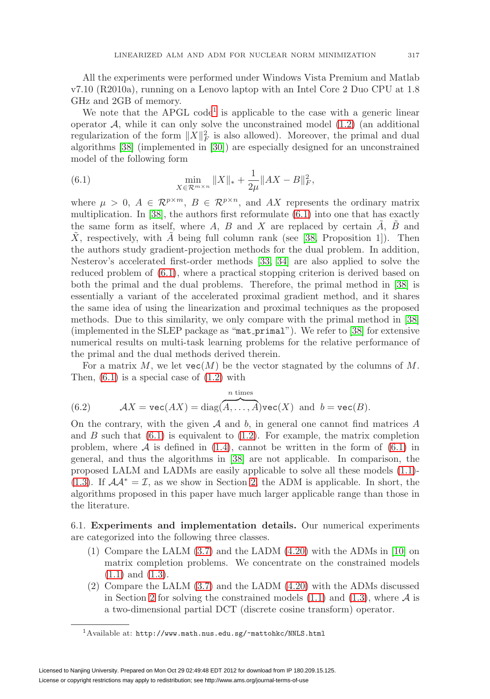All the experiments were performed under Windows Vista Premium and Matlab v7.10 (R2010a), running on a Lenovo laptop with an Intel Core 2 Duo CPU at 1.8 GHz and 2GB of memory.

We note that the APGL code<sup>[1](#page-16-1)</sup> is applicable to the case with a generic linear operator  $A$ , while it can only solve the unconstrained model  $(1.2)$  (an additional regularization of the form  $||X||_F^2$  is also allowed). Moreover, the primal and dual algorithms [\[38\]](#page-27-2) (implemented in [\[30\]](#page-27-18)) are especially designed for an unconstrained model of the following form

<span id="page-16-0"></span>(6.1) 
$$
\min_{X \in \mathcal{R}^{m \times n}} \|X\|_{*} + \frac{1}{2\mu} \|AX - B\|_{F}^{2},
$$

where  $\mu > 0$ ,  $A \in \mathcal{R}^{p \times m}$ ,  $B \in \mathcal{R}^{p \times n}$ , and AX represents the ordinary matrix multiplication. In [\[38\]](#page-27-2), the authors first reformulate [\(6.1\)](#page-16-0) into one that has exactly the same form as itself, where A, B and X are replaced by certain  $\ddot{A}$ ,  $\ddot{B}$  and  $\overline{X}$ , respectively, with  $\overline{A}$  being full column rank (see [\[38,](#page-27-2) Proposition 1]). Then the authors study gradient-projection methods for the dual problem. In addition, Nesterov's accelerated first-order methods [\[33,](#page-27-8) [34\]](#page-27-9) are also applied to solve the reduced problem of [\(6.1\)](#page-16-0), where a practical stopping criterion is derived based on both the primal and the dual problems. Therefore, the primal method in [\[38\]](#page-27-2) is essentially a variant of the accelerated proximal gradient method, and it shares the same idea of using the linearization and proximal techniques as the proposed methods. Due to this similarity, we only compare with the primal method in [\[38\]](#page-27-2) (implemented in the SLEP package as "mat primal"). We refer to [\[38\]](#page-27-2) for extensive numerical results on multi-task learning problems for the relative performance of the primal and the dual methods derived therein.

For a matrix M, we let  $\text{vec}(M)$  be the vector stagnated by the columns of M. Then,  $(6.1)$  is a special case of  $(1.2)$  with

<span id="page-16-2"></span>(6.2) 
$$
\mathcal{A}X = \text{vec}(AX) = \text{diag}(\overbrace{A,\ldots,A}^{n \text{ times}}) \text{vec}(X) \text{ and } b = \text{vec}(B).
$$

On the contrary, with the given  $A$  and  $b$ , in general one cannot find matrices  $A$ and  $B$  such that  $(6.1)$  is equivalent to  $(1.2)$ . For example, the matrix completion problem, where  $A$  is defined in [\(1.4\)](#page-2-0), cannot be written in the form of [\(6.1\)](#page-16-0) in general, and thus the algorithms in [\[38\]](#page-27-2) are not applicable. In comparison, the proposed LALM and LADMs are easily applicable to solve all these models [\(1.1\)](#page-0-0)- [\(1.3\)](#page-1-1). If  $\mathcal{A}A^* = \mathcal{I}$ , as we show in Section [2,](#page-3-0) the ADM is applicable. In short, the algorithms proposed in this paper have much larger applicable range than those in the literature.

6.1. **Experiments and implementation details.** Our numerical experiments are categorized into the following three classes.

- (1) Compare the LALM [\(3.7\)](#page-6-7) and the LADM [\(4.20\)](#page-12-4) with the ADMs in [\[10\]](#page-26-9) on matrix completion problems. We concentrate on the constrained models [\(1.1\)](#page-0-0) and [\(1.3\)](#page-1-1).
- (2) Compare the LALM [\(3.7\)](#page-6-7) and the LADM [\(4.20\)](#page-12-4) with the ADMs discussed in Section [2](#page-3-0) for solving the constrained models  $(1.1)$  and  $(1.3)$ , where A is a two-dimensional partial DCT (discrete cosine transform) operator.

<span id="page-16-1"></span><sup>1</sup>Available at: <http://www.math.nus.edu.sg/~mattohkc/NNLS.html>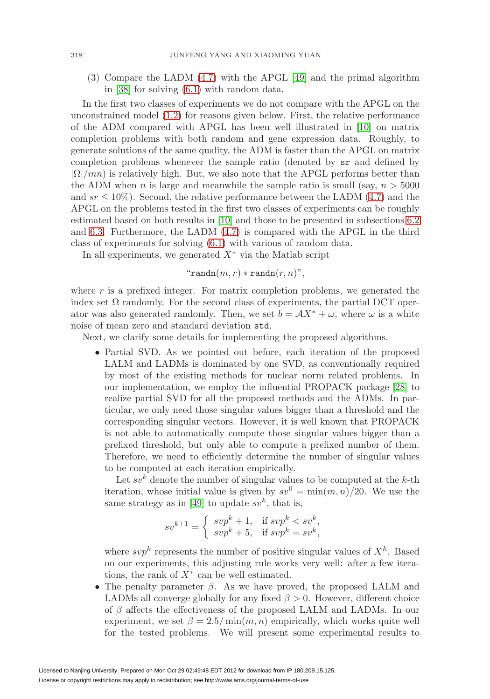(3) Compare the LADM [\(4.7\)](#page-10-3) with the APGL [\[49\]](#page-28-5) and the primal algorithm in [\[38\]](#page-27-2) for solving [\(6.1\)](#page-16-0) with random data.

In the first two classes of experiments we do not compare with the APGL on the unconstrained model [\(1.2\)](#page-1-0) for reasons given below. First, the relative performance of the ADM compared with APGL has been well illustrated in [\[10\]](#page-26-9) on matrix completion problems with both random and gene expression data. Roughly, to generate solutions of the same quality, the ADM is faster than the APGL on matrix completion problems whenever the sample ratio (denoted by sr and defined by  $|\Omega|/mn$ ) is relatively high. But, we also note that the APGL performs better than the ADM when n is large and meanwhile the sample ratio is small (say,  $n > 5000$ ) and  $sr \leq 10\%$ . Second, the relative performance between the LADM [\(4.7\)](#page-10-3) and the APGL on the problems tested in the first two classes of experiments can be roughly estimated based on both results in [\[10\]](#page-26-9) and those to be presented in subsections [6.2](#page-18-0) and [6.3.](#page-19-0) Furthermore, the LADM [\(4.7\)](#page-10-3) is compared with the APGL in the third class of experiments for solving [\(6.1\)](#page-16-0) with various of random data.

In all experiments, we generated  $X^*$  via the Matlab script

$$
\text{``randn}(m,r) * \text{randn}(r,n)\text{''},
$$

where  $r$  is a prefixed integer. For matrix completion problems, we generated the index set  $\Omega$  randomly. For the second class of experiments, the partial DCT operator was also generated randomly. Then, we set  $b = \mathcal{A}X^* + \omega$ , where  $\omega$  is a white noise of mean zero and standard deviation std.

Next, we clarify some details for implementing the proposed algorithms.

• Partial SVD. As we pointed out before, each iteration of the proposed LALM and LADMs is dominated by one SVD, as conventionally required by most of the existing methods for nuclear norm related problems. In our implementation, we employ the influential PROPACK package [\[28\]](#page-27-19) to realize partial SVD for all the proposed methods and the ADMs. In particular, we only need those singular values bigger than a threshold and the corresponding singular vectors. However, it is well known that PROPACK is not able to automatically compute those singular values bigger than a prefixed threshold, but only able to compute a prefixed number of them. Therefore, we need to efficiently determine the number of singular values to be computed at each iteration empirically.

Let  $sv^k$  denote the number of singular values to be computed at the  $k$ -th iteration, whose initial value is given by  $sv^0 = \min(m, n)/20$ . We use the same strategy as in [\[49\]](#page-28-5) to update  $sv^k$ , that is,

$$
sv^{k+1} = \begin{cases} svp^k + 1, & \text{if } svp^k < sv^k, \\ svp^k + 5, & \text{if } svp^k = sv^k, \end{cases}
$$

where  $svp^k$  represents the number of positive singular values of  $X^k$ . Based on our experiments, this adjusting rule works very well: after a few iterations, the rank of  $X^*$  can be well estimated.

• The penalty parameter  $\beta$ . As we have proved, the proposed LALM and LADMs all converge globally for any fixed  $\beta > 0$ . However, different choice of  $\beta$  affects the effectiveness of the proposed LALM and LADMs. In our experiment, we set  $\beta = 2.5/\min(m, n)$  empirically, which works quite well for the tested problems. We will present some experimental results to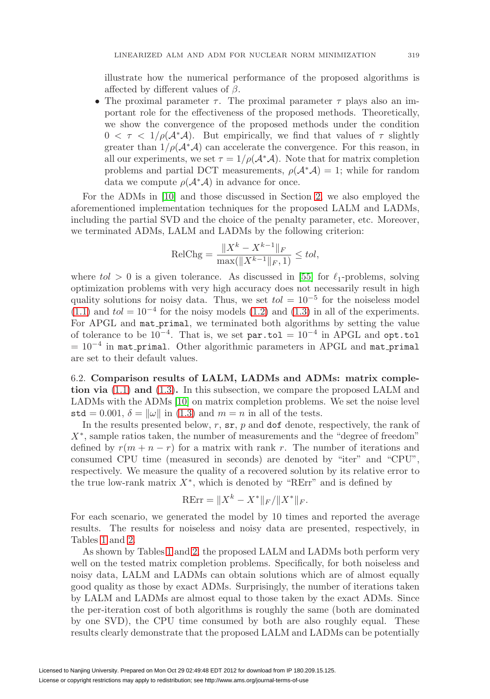illustrate how the numerical performance of the proposed algorithms is affected by different values of  $\beta$ .

• The proximal parameter  $\tau$ . The proximal parameter  $\tau$  plays also an important role for the effectiveness of the proposed methods. Theoretically, we show the convergence of the proposed methods under the condition  $0 < \tau < 1/\rho(\mathcal{A}^*\mathcal{A})$ . But empirically, we find that values of  $\tau$  slightly greater than  $1/\rho(\mathcal{A}^*\mathcal{A})$  can accelerate the convergence. For this reason, in all our experiments, we set  $\tau = 1/\rho(\mathcal{A}^*\mathcal{A})$ . Note that for matrix completion problems and partial DCT measurements,  $\rho(\mathcal{A}^*\mathcal{A}) = 1$ ; while for random data we compute  $\rho(\mathcal{A}^*\mathcal{A})$  in advance for once.

For the ADMs in [\[10\]](#page-26-9) and those discussed in Section [2,](#page-3-0) we also employed the aforementioned implementation techniques for the proposed LALM and LADMs, including the partial SVD and the choice of the penalty parameter, etc. Moreover, we terminated ADMs, LALM and LADMs by the following criterion:

$$
\text{RelChg} = \frac{\|X^k - X^{k-1}\|_F}{\max(\|X^{k-1}\|_F, 1)} \leq tol,
$$

where  $tol > 0$  is a given tolerance. As discussed in [\[55\]](#page-28-7) for  $\ell_1$ -problems, solving optimization problems with very high accuracy does not necessarily result in high quality solutions for noisy data. Thus, we set  $tol = 10^{-5}$  for the noiseless model [\(1.1\)](#page-0-0) and  $tol = 10^{-4}$  for the noisy models [\(1.2\)](#page-1-0) and [\(1.3\)](#page-1-1) in all of the experiments. For APGL and mat primal, we terminated both algorithms by setting the value of tolerance to be  $10^{-4}$ . That is, we set par.tol =  $10^{-4}$  in APGL and opt.tol  $= 10^{-4}$  in mat primal. Other algorithmic parameters in APGL and mat primal are set to their default values.

<span id="page-18-0"></span>6.2. **Comparison results of LALM, LADMs and ADMs: matrix completion via** [\(1.1\)](#page-0-0) **and** [\(1.3\)](#page-1-1)**.** In this subsection, we compare the proposed LALM and LADMs with the ADMs [\[10\]](#page-26-9) on matrix completion problems. We set the noise level std = 0.001,  $\delta = ||\omega||$  in [\(1.3\)](#page-1-1) and  $m = n$  in all of the tests.

In the results presented below,  $r$ ,  $sr$ ,  $p$  and dof denote, respectively, the rank of  $X^*$ , sample ratios taken, the number of measurements and the "degree of freedom" defined by  $r(m + n - r)$  for a matrix with rank r. The number of iterations and consumed CPU time (measured in seconds) are denoted by "iter" and "CPU", respectively. We measure the quality of a recovered solution by its relative error to the true low-rank matrix  $X^*$ , which is denoted by "RErr" and is defined by

$$
RErr = \|X^k - X^*\|_F / \|X^*\|_F.
$$

For each scenario, we generated the model by 10 times and reported the average results. The results for noiseless and noisy data are presented, respectively, in Tables [1](#page-19-1) and [2.](#page-19-2)

As shown by Tables [1](#page-19-1) and [2,](#page-19-2) the proposed LALM and LADMs both perform very well on the tested matrix completion problems. Specifically, for both noiseless and noisy data, LALM and LADMs can obtain solutions which are of almost equally good quality as those by exact ADMs. Surprisingly, the number of iterations taken by LALM and LADMs are almost equal to those taken by the exact ADMs. Since the per-iteration cost of both algorithms is roughly the same (both are dominated by one SVD), the CPU time consumed by both are also roughly equal. These results clearly demonstrate that the proposed LALM and LADMs can be potentially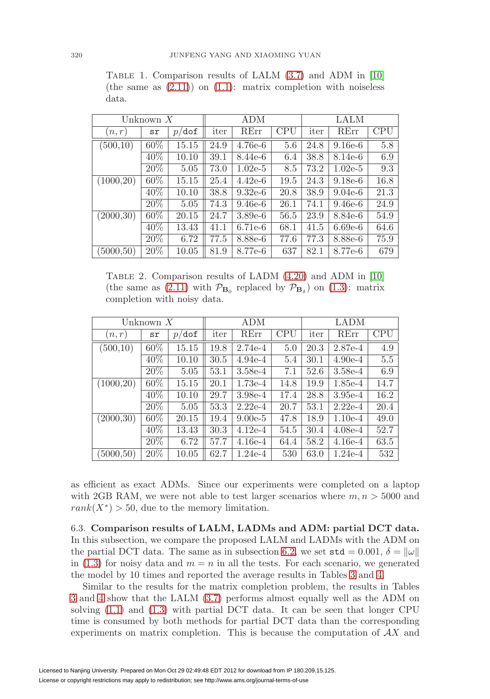| Unknown $X$ |        |                  |      | ADM       |            | LALM |           |            |  |
|-------------|--------|------------------|------|-----------|------------|------|-----------|------------|--|
| n, r        | sr     | $p/\texttt{dof}$ | iter | RErr      | <b>CPU</b> | iter | RErr      | <b>CPU</b> |  |
| (500,10)    | 60%    | 15.15            | 24.9 | $4.76e-6$ | 5.6        | 24.8 | $9.16e-6$ | 5.8        |  |
|             | 40%    | 10.10            | 39.1 | 8.44e-6   | 6.4        | 38.8 | 8.14e-6   | 6.9        |  |
|             | $20\%$ | 5.05             | 73.0 | $1.02e-5$ | 8.5        | 73.2 | $1.02e-5$ | 9.3        |  |
| (1000, 20)  | 60%    | 15.15            | 25.4 | $4.42e-6$ | 19.5       | 24.3 | $9.18e-6$ | 16.8       |  |
|             | 40%    | 10.10            | 38.8 | $9.32e-6$ | 20.8       | 38.9 | $9.04e-6$ | 21.3       |  |
|             | $20\%$ | 5.05             | 74.3 | $9.46e-6$ | 26.1       | 74.1 | $9.46e-6$ | 24.9       |  |
| (2000, 30)  | 60%    | 20.15            | 24.7 | $3.89e-6$ | 56.5       | 23.9 | 8.84e-6   | 54.9       |  |
|             | $40\%$ | 13.43            | 41.1 | $6.71e-6$ | 68.1       | 41.5 | $6.69e-6$ | 64.6       |  |
|             | $20\%$ | 6.72             | 77.5 | 8.88e-6   | 77.6       | 77.3 | 8.88e-6   | 75.9       |  |
| (5000, 50)  | 20%    | 10.05            | 81.9 | 8.77e-6   | 637        | 82.1 | 8.77e-6   | 679        |  |

<span id="page-19-1"></span>TABLE 1. Comparison results of LALM  $(3.7)$  and ADM in [\[10\]](#page-26-9) (the same as  $(2.11)$ ) on  $(1.1)$ : matrix completion with noiseless data.

<span id="page-19-2"></span>Table 2. Comparison results of LADM [\(4.20\)](#page-12-4) and ADM in [\[10\]](#page-26-9) (the same as [\(2.11\)](#page-4-6) with  $\mathcal{P}_{\mathbf{B}_0}$  replaced by  $\mathcal{P}_{\mathbf{B}_\delta}$ ) on [\(1.3\)](#page-1-1): matrix completion with noisy data.

| Unknown $X$ |        |                |      | ADM       |            | <b>LADM</b> |           |            |  |
|-------------|--------|----------------|------|-----------|------------|-------------|-----------|------------|--|
| n, r        | sr     | $p/\text{dof}$ | iter | RErr      | <b>CPU</b> | iter        | RErr      | <b>CPU</b> |  |
| (500,10)    | 60%    | 15.15          | 19.8 | $2.74e-4$ | 5.0        | 20.3        | 2.87e-4   | 4.9        |  |
|             | 40%    | 10.10          | 30.5 | $4.94e-4$ | 5.4        | 30.1        | $4.90e-4$ | $5.5\,$    |  |
|             | $20\%$ | 5.05           | 53.1 | $3.58e-4$ | 7.1        | 52.6        | $3.58e-4$ | 6.9        |  |
| (1000, 20)  | $60\%$ | 15.15          | 20.1 | $1.73e-4$ | 14.8       | 19.9        | 1.85e-4   | 14.7       |  |
|             | $40\%$ | 10.10          | 29.7 | $3.98e-4$ | 17.4       | 28.8        | $3.95e-4$ | 16.2       |  |
|             | 20%    | 5.05           | 53.3 | $2.22e-4$ | 20.7       | 53.1        | $2.22e-4$ | 20.4       |  |
| (2000, 30)  | 60%    | 20.15          | 19.4 | $9.00e-5$ | 47.8       | 18.9        | $1.10e-4$ | 49.0       |  |
|             | 40\%   | 13.43          | 30.3 | $4.12e-4$ | 54.5       | 30.4        | $4.08e-4$ | 52.7       |  |
|             | $20\%$ | 6.72           | 57.7 | $4.16e-4$ | 64.4       | 58.2        | $4.16e-4$ | 63.5       |  |
| (5000, 50)  | 20%    | 10.05          | 62.7 | 1.24e-4   | 530        | 63.0        | $1.24e-4$ | 532        |  |

as efficient as exact ADMs. Since our experiments were completed on a laptop with 2GB RAM, we were not able to test larger scenarios where  $m, n > 5000$  and  $rank(X^*) > 50$ , due to the memory limitation.

<span id="page-19-0"></span>6.3. **Comparison results of LALM, LADMs and ADM: partial DCT data.** In this subsection, we compare the proposed LALM and LADMs with the ADM on the partial DCT data. The same as in subsection [6.2,](#page-18-0) we set  $\text{std} = 0.001$ ,  $\delta = ||\omega||$ in [\(1.3\)](#page-1-1) for noisy data and  $m = n$  in all the tests. For each scenario, we generated the model by 10 times and reported the average results in Tables [3](#page-20-0) and [4.](#page-20-1)

Similar to the results for the matrix completion problem, the results in Tables [3](#page-20-0) and [4](#page-20-1) show that the LALM [\(3.7\)](#page-6-7) performs almost equally well as the ADM on solving [\(1.1\)](#page-0-0) and [\(1.3\)](#page-1-1) with partial DCT data. It can be seen that longer CPU time is consumed by both methods for partial DCT data than the corresponding experiments on matrix completion. This is because the computation of  $\mathcal{A}X$  and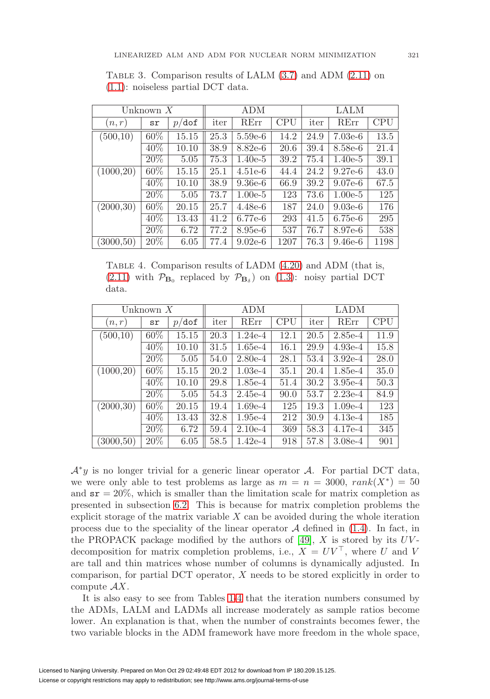| Unknown $X$ |        |                |      | <b>ADM</b> |            | LALM |           |      |  |
|-------------|--------|----------------|------|------------|------------|------|-----------|------|--|
| (n,r)       | sr     | $\delta$<br>p/ | iter | RErr       | <b>CPU</b> | iter | RErr      | CPU  |  |
| (500, 10)   | 60%    | 15.15          | 25.3 | $5.59e-6$  | 14.2       | 24.9 | $7.03e-6$ | 13.5 |  |
|             | 40%    | 10.10          | 38.9 | 8.82e-6    | 20.6       | 39.4 | 8.58e-6   | 21.4 |  |
|             | 20%    | 5.05           | 75.3 | $1.40e-5$  | 39.2       | 75.4 | $1.40e-5$ | 39.1 |  |
| (1000, 20)  | 60%    | 15.15          | 25.1 | $4.51e-6$  | 44.4       | 24.2 | $9.27e-6$ | 43.0 |  |
|             | 40%    | 10.10          | 38.9 | $9.36e-6$  | 66.9       | 39.2 | $9.07e-6$ | 67.5 |  |
|             | $20\%$ | 5.05           | 73.7 | $1.00e-5$  | 123        | 73.6 | $1.00e-5$ | 125  |  |
| (2000, 30)  | 60%    | 20.15          | 25.7 | $4.48e-6$  | 187        | 24.0 | $9.03e-6$ | 176  |  |
|             | 40%    | 13.43          | 41.2 | 6.77e-6    | 293        | 41.5 | $6.75e-6$ | 295  |  |
|             | 20%    | 6.72           | 77.2 | 8.95e-6    | 537        | 76.7 | 8.97e-6   | 538  |  |
| (3000, 50)  | 20%    | 6.05           | 77.4 | $9.02e-6$  | 1207       | 76.3 | $9.46e-6$ | 1198 |  |

<span id="page-20-0"></span>TABLE 3. Comparison results of LALM  $(3.7)$  and ADM  $(2.11)$  on [\(1.1\)](#page-0-0): noiseless partial DCT data.

<span id="page-20-1"></span>TABLE 4. Comparison results of LADM  $(4.20)$  and ADM (that is,  $(2.11)$  with  $\mathcal{P}_{\mathbf{B}_0}$  replaced by  $\mathcal{P}_{\mathbf{B}_\delta}$  on  $(1.3)$ : noisy partial DCT data.

| Unknown $X$ |        |                  |      | ADM       |            | <b>LADM</b> |           |            |  |
|-------------|--------|------------------|------|-----------|------------|-------------|-----------|------------|--|
| (n,r)       | sr     | $p/\texttt{dof}$ | iter | RErr      | <b>CPU</b> | iter        | RErr      | <b>CPU</b> |  |
| (500,10)    | 60%    | 15.15            | 20.3 | $1.24e-4$ | 12.1       | 20.5        | $2.85e-4$ | 11.9       |  |
|             | $40\%$ | 10.10            | 31.5 | $1.65e-4$ | 16.1       | 29.9        | $4.93e-4$ | 15.8       |  |
|             | $20\%$ | 5.05             | 54.0 | $2.80e-4$ | 28.1       | 53.4        | $3.92e-4$ | 28.0       |  |
| (1000, 20)  | 60%    | 15.15            | 20.2 | $1.03e-4$ | 35.1       | 20.4        | $1.85e-4$ | 35.0       |  |
|             | 40%    | 10.10            | 29.8 | $1.85e-4$ | 51.4       | 30.2        | $3.95e-4$ | 50.3       |  |
|             | $20\%$ | 5.05             | 54.3 | $2.45e-4$ | 90.0       | 53.7        | $2.23e-4$ | 84.9       |  |
| (2000, 30)  | 60%    | 20.15            | 19.4 | $1.69e-4$ | 125        | 19.3        | $1.09e-4$ | 123        |  |
|             | 40%    | 13.43            | 32.8 | $1.95e-4$ | 212        | 30.9        | $4.13e-4$ | 185        |  |
|             | $20\%$ | 6.72             | 59.4 | $2.10e-4$ | 369        | 58.3        | $4.17e-4$ | 345        |  |
| (3000, 50)  | 20%    | 6.05             | 58.5 | $1.42e-4$ | 918        | 57.8        | $3.08e-4$ | 901        |  |

 $\mathcal{A}^*y$  is no longer trivial for a generic linear operator  $\mathcal{A}$ . For partial DCT data, we were only able to test problems as large as  $m = n = 3000$ ,  $rank(X^*) = 50$ and  $sr = 20\%$ , which is smaller than the limitation scale for matrix completion as presented in subsection [6.2.](#page-18-0) This is because for matrix completion problems the explicit storage of the matrix variable  $X$  can be avoided during the whole iteration process due to the speciality of the linear operator  $A$  defined in [\(1.4\)](#page-2-0). In fact, in the PROPACK package modified by the authors of [\[49\]](#page-28-5),  $X$  is stored by its  $UV$ decomposition for matrix completion problems, i.e.,  $X = UV^{\top}$ , where U and V are tall and thin matrices whose number of columns is dynamically adjusted. In comparison, for partial DCT operator, X needs to be stored explicitly in order to compute  $AX$ .

It is also easy to see from Tables [1](#page-19-1)[-4](#page-20-1) that the iteration numbers consumed by the ADMs, LALM and LADMs all increase moderately as sample ratios become lower. An explanation is that, when the number of constraints becomes fewer, the two variable blocks in the ADM framework have more freedom in the whole space,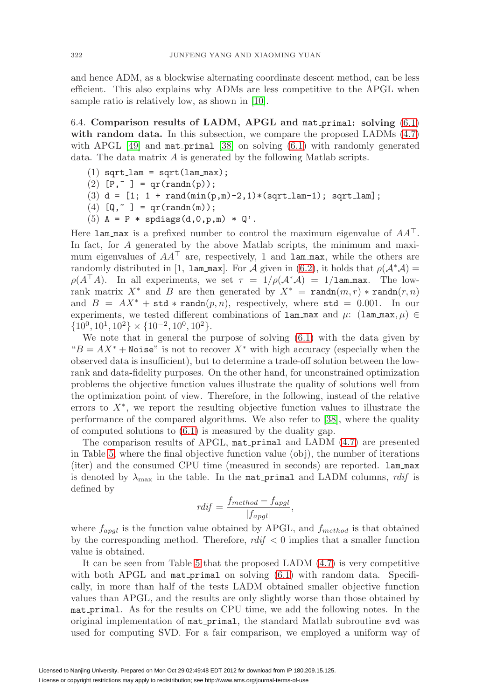and hence ADM, as a blockwise alternating coordinate descent method, can be less efficient. This also explains why ADMs are less competitive to the APGL when sample ratio is relatively low, as shown in [\[10\]](#page-26-9).

<span id="page-21-0"></span>6.4. **Comparison results of LADM, APGL and** mat primal**: solving** [\(6.1\)](#page-16-0) **with random data.** In this subsection, we compare the proposed LADMs [\(4.7\)](#page-10-3) with APGL  $[49]$  and mat primal  $[38]$  on solving  $(6.1)$  with randomly generated data. The data matrix A is generated by the following Matlab scripts.

- $(1)$  sqrt $l$ lam = sqrt $(lam_max)$ ;
- (2)  $[P, \tilde{ } ] = qr(randn(p));$
- (3)  $d = [1; 1 + rand(min(p,m)-2,1)*(sqrt\_lam-1); sqrt\_lam];$
- (4)  $[Q, \tilde{ } ] = qr(randn(m));$
- (5)  $A = P *$  spdiags(d,0,p,m)  $* Q'.$

Here lam max is a prefixed number to control the maximum eigenvalue of  $AA^{\top}$ . In fact, for A generated by the above Matlab scripts, the minimum and maximum eigenvalues of  $AA^{\top}$  are, respectively, 1 and lam max, while the others are randomly distributed in [1, 1am max]. For A given in [\(6.2\)](#page-16-2), it holds that  $\rho(\mathcal{A}^*\mathcal{A})$  =  $\rho(A^{\dagger}A)$ . In all experiments, we set  $\tau = 1/\rho(A^*A) = 1/1$ am max. The lowrank matrix  $X^*$  and B are then generated by  $X^* = \text{randn}(m, r) * \text{randn}(r, n)$ and  $B = AX^* + std * randn(p, n)$ , respectively, where std = 0.001. In our experiments, we tested different combinations of lam\_max and  $\mu$ : (lam\_max,  $\mu$ )  $\in$  $\{10^0, 10^1, 10^2\} \times \{10^{-2}, 10^0, 10^2\}.$ 

We note that in general the purpose of solving  $(6.1)$  with the data given by " $B = AX^*$  + Noise" is not to recover  $X^*$  with high accuracy (especially when the observed data is insufficient), but to determine a trade-off solution between the lowrank and data-fidelity purposes. On the other hand, for unconstrained optimization problems the objective function values illustrate the quality of solutions well from the optimization point of view. Therefore, in the following, instead of the relative errors to  $X^*$ , we report the resulting objective function values to illustrate the performance of the compared algorithms. We also refer to [\[38\]](#page-27-2), where the quality of computed solutions to [\(6.1\)](#page-16-0) is measured by the duality gap.

The comparison results of APGL, mat\_primal and LADM [\(4.7\)](#page-10-3) are presented in Table [5,](#page-22-0) where the final objective function value (obj), the number of iterations (iter) and the consumed CPU time (measured in seconds) are reported. lam max is denoted by  $\lambda_{\text{max}}$  in the table. In the mat primal and LADM columns, rdif is defined by

$$
rdf = \frac{f_{method} - f_{apgl}}{|f_{apgl}|},
$$

where  $f_{apgl}$  is the function value obtained by APGL, and  $f_{method}$  is that obtained by the corresponding method. Therefore,  $\text{rdiff} < 0$  implies that a smaller function value is obtained.

It can be seen from Table [5](#page-22-0) that the proposed LADM [\(4.7\)](#page-10-3) is very competitive with both APGL and  $\text{mat-printual}$  on solving  $(6.1)$  with random data. Specifically, in more than half of the tests LADM obtained smaller objective function values than APGL, and the results are only slightly worse than those obtained by mat primal. As for the results on CPU time, we add the following notes. In the original implementation of mat primal, the standard Matlab subroutine svd was used for computing SVD. For a fair comparison, we employed a uniform way of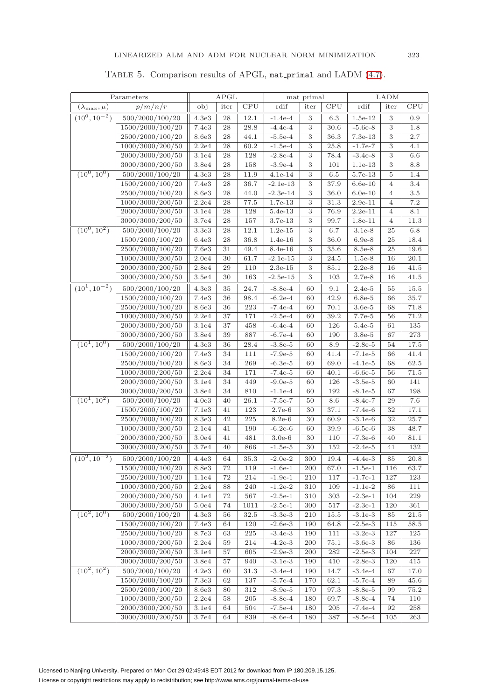<span id="page-22-0"></span>

|                         | Parameters                           | APGL           |          | mat primal  |                        |            | LADM         |                        |                |              |
|-------------------------|--------------------------------------|----------------|----------|-------------|------------------------|------------|--------------|------------------------|----------------|--------------|
| $(\lambda_{\max}, \mu)$ | p/m/n/r                              | obj            | iter     | CPU         | rdif                   | iter       | CPU          | rdif                   | iter           | <b>CPU</b>   |
| $(10^0, 10^{-2})$       | 500/2000/100/20                      | 4.3e3          | 28       | 12.1        | $-1.4e-4$              | 3          | 6.3          | $1.5e-12$              | 3              | 0.9          |
|                         | 1500/2000/100/20                     | 7.4e3          | 28       | 28.8        | $-4.4e-4$              | 3          | 30.6         | $-5.6e-8$              | 3              | 1.8          |
|                         | 2500/2000/100/20                     | 8.6e3          | 28       | 44.1        | $-5.5e-4$              | 3          | 36.3         | 7.3e-13                | 3              | 2.7          |
|                         | 1000/3000/200/50                     | 2.2e4          | 28       | 60.2        | $-1.5e-4$              | 3          | 25.8         | $-1.7e-7$              | 3              | 4.1          |
|                         | 2000/3000/200/50                     | 3.1e4          | 28       | 128         | $-2.8e-4$              | 3          | 78.4         | $-3.4e-8$              | 3              | 6.6          |
|                         | 3000/3000/200/50                     | 3.8e4          | 28       | 158         | $-3.9e-4$              | 3          | 101          | 1.1e-13                | 3              | 8.8          |
| $(10^0, 10^0)$          | 500/2000/100/20                      | 4.3e3          | 28       | 11.9        | $4.1e-14$              | $\,3$      | $6.5\,$      | 5.7e-13                | $\overline{5}$ | 1.4          |
|                         | 1500/2000/100/20                     | 7.4e3          | 28       | 36.7        | $-2.1e-13$             | 3          | 37.9         | $6.6e-10$              | $\overline{4}$ | 3.4          |
|                         | 2500/2000/100/20                     | 8.6e3          | 28       | 44.0        | $-2.3e-14$             | 3          | 36.0         | $6.0e-10$              | $\overline{4}$ | 3.5          |
|                         | 1000/3000/200/50                     | 2.2e4          | 28       | 77.5        | 1.7e-13                | 3          | 31.3         | $2.9e-11$              | $\overline{4}$ | 7.2          |
|                         | 2000/3000/200/50                     | 3.1e4          | 28       | 128         | 5.4e-13                | 3          | 76.9         | $2.2e-11$              | $\overline{4}$ | 8.1          |
|                         | 3000/3000/200/50                     | 3.7e4          | 28       | 157         | 3.7e-13                | 3          | 99.7         | 1.8e-11                | $\overline{4}$ | 11.3         |
| $(10^0, 10^2)$          | 500/2000/100/20                      | 3.3e3          | 28       | 12.1        | $1.2e-15$              | 3          | 6.7          | $3.1e-8$               | 25             | 6.8          |
|                         | 1500/2000/100/20                     | 6.4e3          | 28       | 36.8        | $1.4e-16$              | 3          | 36.0         | $6.9e-8$               | 25             | 18.4         |
|                         | 2500/2000/100/20                     | 7.6e3          | 31       | 49.4        | 8.4e-16                | 3          | 35.6         | 8.5e-8                 | 25             | 19.6         |
|                         | 1000/3000/200/50                     | 2.0e4          | 30       | 61.7        | $-2.1e-15$             | 3          | 24.5         | $1.5e-8$               | 16             | 20.1         |
|                         | 2000/3000/200/50                     | 2.8e4          | 29       | 110         | $2.3e-15$              | 3          | 85.1         | $2.2e-8$               | 16             | 41.5         |
|                         | 3000/3000/200/50                     | 3.5e4          | 30       | 163         | $-2.5e-15$             | 3          | 103          | $2.7e-8$               | 16             | 41.5         |
| $(10^1, 10^{-2})$       | 500/2000/100/20                      | 4.3e3          | 35       | 24.7        | $-8.8e-4$              | 60         | 9.1          | $2.4e-5$               | 55             | 15.5         |
|                         | 1500/2000/100/20                     | 7.4e3          | 36       | 98.4        | $-6.2e-4$              | 60         | 42.9         | $6.8e-5$               | 66             | 35.7         |
|                         | 2500/2000/100/20                     | 8.6e3          | 36       | 223         | $-7.4e-4$              | 60         | 70.1         | $3.6e-5$               | 68             | 71.8         |
|                         | 1000/3000/200/50                     | 2.2e4          | 37       | 171         | $-2.5e-4$              | 60         | 39.2         | 7.7e-5                 | 56             | 71.2         |
|                         | 2000/3000/200/50                     | 3.1e4          | 37       | 458         | $-6.4e-4$              | 60         | 126          | $5.4e-5$               | 61             | 135          |
| $(10^1, 10^0)$          | 3000/3000/200/50                     | 3.8e4          | 39       | 887         | $-6.7e-4$              | 60         | 190          | $3.8e-5$               | 67             | 273          |
|                         | 500/2000/100/20<br>1500/2000/100/20  | 4.3e3<br>7.4e3 | 36<br>34 | 28.4<br>111 | $-3.8e-5$<br>$-7.9e-5$ | 60<br>60   | 8.9<br>41.4  | $-2.8e-5$<br>$-7.1e-5$ | 54<br>66       | 17.5<br>41.4 |
|                         | 2500/2000/100/20                     | 8.6e3          | 34       | 269         | $-6.3e-5$              | 60         | 69.0         | $-4.1e-5$              | 68             | 62.5         |
|                         | 1000/3000/200/50                     | 2.2e4          | 34       | 171         | $-7.4e-5$              | 60         | 40.1         | $-6.6e-5$              | 56             | 71.5         |
|                         | 2000/3000/200/50                     | 3.1e4          | 34       | 449         | $-9.0e-5$              | 60         | 126          | $-3.5e-5$              | 60             | 141          |
|                         | 3000/3000/200/50                     | 3.8e4          | 34       | 810         | $-1.1e-4$              | 60         | 192          | $-8.1e-5$              | 67             | 198          |
| $(10^1, 10^2)$          | 500/2000/100/20                      | 4.0e3          | 40       | 26.1        | $-7.5e-7$              | 50         | 8.6          | $-8.4e-7$              | 29             | 7.6          |
|                         | 1500/2000/100/20                     | 7.1e3          | 41       | 123         | 2.7e-6                 | 30         | 37.1         | $-7.4e-6$              | 32             | 17.1         |
|                         | 2500/2000/100/20                     | 8.3e3          | 42       | 225         | $8.2e-6$               | 30         | 60.9         | $-3.1e-6$              | 32             | 25.7         |
|                         | 1000/3000/200/50                     | 2.1e4          | 41       | 190         | $-6.2e-6$              | 60         | 39.9         | $-6.5e-6$              | 38             | 48.7         |
|                         | 2000/3000/200/50                     | 3.0e4          | 41       | 481         | $3.0e-6$               | 30         | 110          | $-7.3e-6$              | 40             | 81.1         |
|                         | 3000/3000/200/50                     | 3.7e4          | 40       | 866         | $-1.5e-5$              | 30         | 152          | $-2.4e-5$              | 41             | 132          |
| $(10^2, 10^{-2})$       | 500/2000/100/20                      | 4.4e3          | 64       | 35.3        | $-2.0e-2$              | 300        | 19.4         | $-4.4e-3$              | 85             | 20.8         |
|                         | 1500/2000/100/20                     | 8.8e3          | 72       | 119         | $-1.6e-1$              | 200        | 67.0         | $-1.5e-1$              | 116            | 63.7         |
|                         | 2500/2000/100/20                     | 1.1e4          | 72       | 214         | $-1.9e-1$              | 210        | 117          | $-1.7e-1$              | 127            | 123          |
|                         | 1000/3000/200/50                     | 2.2e4          | 88       | 240         | $-1.2e-2$              | 310        | 109          | $-1.1e-2$              | 86             | 111          |
|                         | 2000/3000/200/50                     | 4.1e4          | 72       | 567         | $-2.5e-1$              | 310        | 303          | $-2.3e-1$              | 104            | 229          |
|                         | 3000/3000/200/50                     | 5.0e4          | 74       | 1011        | $-2.5e-1$              | 300        | 517          | $-2.3e-1$              | 120            | 361          |
| $(10^2, 10^0)$          | 500/2000/100/20                      | 4.3e3          | 56       | 32.5        | $-3.3e-3$              | 210        | 15.5         | $-3.1e-3$              | 85             | 21.5         |
|                         | 1500/2000/100/20                     | 7.4e3          | 64       | 120         | $-2.6e-3$              | 190        | 64.8         | $-2.5e-3$              | 115            | 58.5         |
|                         | 2500/2000/100/20                     | 8.7e3          | 63       | 225         | $-3.4e-3$              | 190        | 111          | $-3.2e-3$              | 127            | 125          |
|                         | 1000/3000/200/50                     | 2.2e4          | 59       | 214         | $-4.2e-3$              | 200        | 75.1         | $-3.6e-3$              | 86             | 136          |
|                         | 2000/3000/200/50                     | 3.1e4          | 57       | 605         | $-2.9e-3$              | 200        | 282          | $-2.5e-3$              | 104            | 227          |
|                         | 3000/3000/200/50                     | 3.8e4          | 57       | 940         | $-3.1e-3$              | 190        | 410          | $-2.8e-3$              | 120            | 415          |
| $(10^2, 10^2)$          | 500/2000/100/20                      | 4.2e3          | 60       | 31.3        | $-3.4e-4$              | 190        | 14.7         | $-3.4e-4$              | 67             | 17.0         |
|                         | 1500/2000/100/20                     | 7.3e3          | 62       | 137         | $-5.7e-4$              | 170        | 62.1         | $-5.7e-4$              | 89             | 45.6         |
|                         | 2500/2000/100/20<br>1000/3000/200/50 | 8.6e3<br>2.2e4 | 80<br>58 | 312<br>205  | $-8.9e-5$<br>$-8.8e-4$ | 170<br>180 | 97.3<br>69.7 | $-8.8e-5$<br>$-8.8e-4$ | 99<br>74       | 75.2<br>110  |
|                         | 2000/3000/200/50                     | 3.1e4          | 64       | 504         | $-7.5e-4$              | 180        | 205          | $-7.4e-4$              | 92             | 258          |
|                         | 3000/3000/200/50                     | 3.7e4          | 64       | 839         | $-8.6e-4$              | 180        | 387          | $-8.5e-4$              | 105            | 263          |
|                         |                                      |                |          |             |                        |            |              |                        |                |              |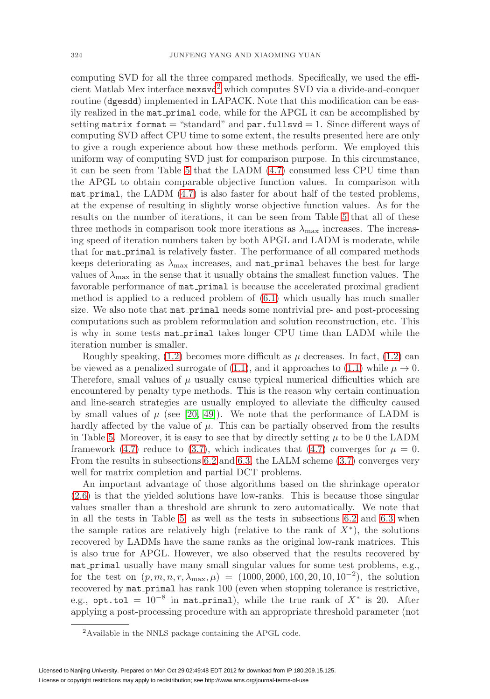computing SVD for all the three compared methods. Specifically, we used the efficient Matlab Mex interface mexsvd[2](#page-23-0) which computes SVD via a divide-and-conquer routine (dgesdd) implemented in LAPACK. Note that this modification can be easily realized in the mat primal code, while for the APGL it can be accomplished by setting matrix format  $=$  "standard" and par.fullsvd  $= 1$ . Since different ways of computing SVD affect CPU time to some extent, the results presented here are only to give a rough experience about how these methods perform. We employed this uniform way of computing SVD just for comparison purpose. In this circumstance, it can be seen from Table [5](#page-22-0) that the LADM [\(4.7\)](#page-10-3) consumed less CPU time than the APGL to obtain comparable objective function values. In comparison with mat primal, the LADM  $(4.7)$  is also faster for about half of the tested problems, at the expense of resulting in slightly worse objective function values. As for the results on the number of iterations, it can be seen from Table [5](#page-22-0) that all of these three methods in comparison took more iterations as  $\lambda_{\text{max}}$  increases. The increasing speed of iteration numbers taken by both APGL and LADM is moderate, while that for mat primal is relatively faster. The performance of all compared methods keeps deteriorating as  $\lambda_{\text{max}}$  increases, and mat primal behaves the best for large values of  $\lambda_{\text{max}}$  in the sense that it usually obtains the smallest function values. The favorable performance of mat primal is because the accelerated proximal gradient method is applied to a reduced problem of [\(6.1\)](#page-16-0) which usually has much smaller size. We also note that mat primal needs some nontrivial pre- and post-processing computations such as problem reformulation and solution reconstruction, etc. This is why in some tests mat primal takes longer CPU time than LADM while the iteration number is smaller.

Roughly speaking,  $(1.2)$  becomes more difficult as  $\mu$  decreases. In fact,  $(1.2)$  can be viewed as a penalized surrogate of [\(1.1\)](#page-0-0), and it approaches to (1.1) while  $\mu \to 0$ . Therefore, small values of  $\mu$  usually cause typical numerical difficulties which are encountered by penalty type methods. This is the reason why certain continuation and line-search strategies are usually employed to alleviate the difficulty caused by small values of  $\mu$  (see [\[20,](#page-27-15) [49\]](#page-28-5)). We note that the performance of LADM is hardly affected by the value of  $\mu$ . This can be partially observed from the results in Table [5.](#page-22-0) Moreover, it is easy to see that by directly setting  $\mu$  to be 0 the LADM framework [\(4.7\)](#page-10-3) reduce to [\(3.7\)](#page-6-7), which indicates that (4.7) converges for  $\mu = 0$ . From the results in subsections [6.2](#page-18-0) and [6.3,](#page-19-0) the LALM scheme [\(3.7\)](#page-6-7) converges very well for matrix completion and partial DCT problems.

An important advantage of those algorithms based on the shrinkage operator [\(2.6\)](#page-4-3) is that the yielded solutions have low-ranks. This is because those singular values smaller than a threshold are shrunk to zero automatically. We note that in all the tests in Table [5,](#page-22-0) as well as the tests in subsections [6.2](#page-18-0) and [6.3](#page-19-0) when the sample ratios are relatively high (relative to the rank of  $X^*$ ), the solutions recovered by LADMs have the same ranks as the original low-rank matrices. This is also true for APGL. However, we also observed that the results recovered by mat primal usually have many small singular values for some test problems, e.g., for the test on  $(p, m, n, r, \lambda_{\text{max}}, \mu) = (1000, 2000, 100, 20, 10, 10^{-2})$ , the solution recovered by mat primal has rank 100 (even when stopping tolerance is restrictive, e.g., opt.tol =  $10^{-8}$  in mat\_primal), while the true rank of  $X^*$  is 20. After applying a post-processing procedure with an appropriate threshold parameter (not

<span id="page-23-0"></span><sup>2</sup>Available in the NNLS package containing the APGL code.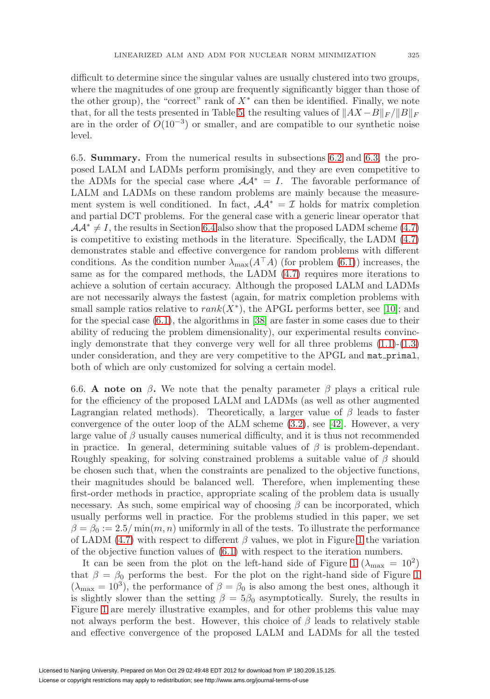difficult to determine since the singular values are usually clustered into two groups, where the magnitudes of one group are frequently significantly bigger than those of the other group), the "correct" rank of  $X^*$  can then be identified. Finally, we note that, for all the tests presented in Table [5,](#page-22-0) the resulting values of  $||AX - B||_F / ||B||_F$ are in the order of  $O(10^{-3})$  or smaller, and are compatible to our synthetic noise level.

6.5. **Summary.** From the numerical results in subsections [6.2](#page-18-0) and [6.3,](#page-19-0) the proposed LALM and LADMs perform promisingly, and they are even competitive to the ADMs for the special case where  $A A^* = I$ . The favorable performance of LALM and LADMs on these random problems are mainly because the measurement system is well conditioned. In fact,  $\mathcal{A}\mathcal{A}^* = \mathcal{I}$  holds for matrix completion and partial DCT problems. For the general case with a generic linear operator that  $\mathcal{A}\mathcal{A}^* \neq I$ , the results in Section [6.4](#page-21-0) also show that the proposed LADM scheme [\(4.7\)](#page-10-3) is competitive to existing methods in the literature. Specifically, the LADM [\(4.7\)](#page-10-3) demonstrates stable and effective convergence for random problems with different conditions. As the condition number  $\lambda_{\text{max}}(A^{\top}A)$  (for problem [\(6.1\)](#page-16-0)) increases, the same as for the compared methods, the LADM [\(4.7\)](#page-10-3) requires more iterations to achieve a solution of certain accuracy. Although the proposed LALM and LADMs are not necessarily always the fastest (again, for matrix completion problems with small sample ratios relative to  $rank(X^*)$ , the APGL performs better, see [\[10\]](#page-26-9); and for the special case [\(6.1\)](#page-16-0), the algorithms in [\[38\]](#page-27-2) are faster in some cases due to their ability of reducing the problem dimensionality), our experimental results convincingly demonstrate that they converge very well for all three problems  $(1.1)-(1.3)$  $(1.1)-(1.3)$  $(1.1)-(1.3)$ under consideration, and they are very competitive to the APGL and mat primal, both of which are only customized for solving a certain model.

6.6. **A** note on  $\beta$ . We note that the penalty parameter  $\beta$  plays a critical rule for the efficiency of the proposed LALM and LADMs (as well as other augmented Lagrangian related methods). Theoretically, a larger value of  $\beta$  leads to faster convergence of the outer loop of the ALM scheme [\(3.2\)](#page-6-0), see [\[42\]](#page-27-20). However, a very large value of  $\beta$  usually causes numerical difficulty, and it is thus not recommended in practice. In general, determining suitable values of  $\beta$  is problem-dependant. Roughly speaking, for solving constrained problems a suitable value of  $\beta$  should be chosen such that, when the constraints are penalized to the objective functions, their magnitudes should be balanced well. Therefore, when implementing these first-order methods in practice, appropriate scaling of the problem data is usually necessary. As such, some empirical way of choosing  $\beta$  can be incorporated, which usually performs well in practice. For the problems studied in this paper, we set  $\beta = \beta_0 := 2.5/\min(m, n)$  uniformly in all of the tests. To illustrate the performance of LADM [\(4.7\)](#page-10-3) with respect to different  $\beta$  values, we plot in Figure [1](#page-25-1) the variation of the objective function values of [\(6.1\)](#page-16-0) with respect to the iteration numbers.

It can be seen from the plot on the left-hand side of Figure [1](#page-25-1) ( $\lambda_{\text{max}} = 10^2$ ) that  $\beta = \beta_0$  performs the best. For the plot on the right-hand side of Figure [1](#page-25-1)  $(\lambda_{\text{max}} = 10^3)$ , the performance of  $\beta = \beta_0$  is also among the best ones, although it is slightly slower than the setting  $\beta = 5\beta_0$  asymptotically. Surely, the results in Figure [1](#page-25-1) are merely illustrative examples, and for other problems this value may not always perform the best. However, this choice of  $\beta$  leads to relatively stable and effective convergence of the proposed LALM and LADMs for all the tested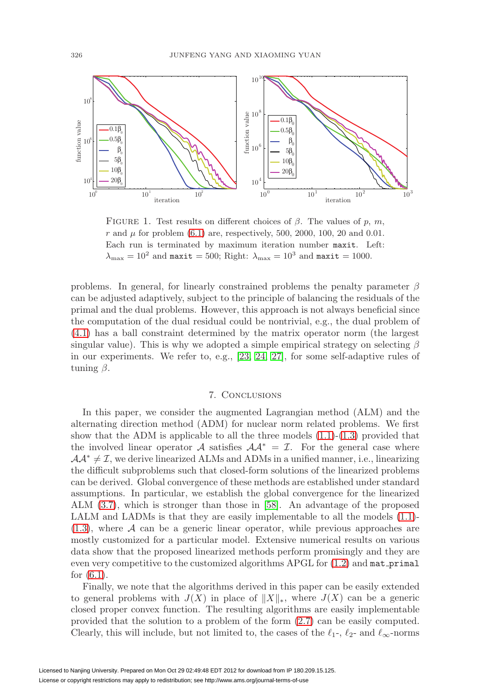

<span id="page-25-1"></span>FIGURE 1. Test results on different choices of  $\beta$ . The values of p, m, r and  $\mu$  for problem [\(6.1\)](#page-16-0) are, respectively, 500, 2000, 100, 20 and 0.01. Each run is terminated by maximum iteration number maxit. Left:  $\lambda_{\text{max}} = 10^2$  and maxit = 500; Right:  $\lambda_{\text{max}} = 10^3$  and maxit = 1000.

problems. In general, for linearly constrained problems the penalty parameter  $\beta$ can be adjusted adaptively, subject to the principle of balancing the residuals of the primal and the dual problems. However, this approach is not always beneficial since the computation of the dual residual could be nontrivial, e.g., the dual problem of [\(4.1\)](#page-9-1) has a ball constraint determined by the matrix operator norm (the largest singular value). This is why we adopted a simple empirical strategy on selecting  $\beta$ in our experiments. We refer to, e.g., [\[23,](#page-27-21) [24,](#page-27-22) [27\]](#page-27-14), for some self-adaptive rules of tuning  $\beta$ .

## 7. Conclusions

<span id="page-25-0"></span>In this paper, we consider the augmented Lagrangian method (ALM) and the alternating direction method (ADM) for nuclear norm related problems. We first show that the ADM is applicable to all the three models  $(1.1)-(1.3)$  $(1.1)-(1.3)$  $(1.1)-(1.3)$  provided that the involved linear operator A satisfies  $A A^* = I$ . For the general case where  $\mathcal{A}\mathcal{A}^* \neq \mathcal{I}$ , we derive linearized ALMs and ADMs in a unified manner, i.e., linearizing the difficult subproblems such that closed-form solutions of the linearized problems can be derived. Global convergence of these methods are established under standard assumptions. In particular, we establish the global convergence for the linearized ALM [\(3.7\)](#page-6-7), which is stronger than those in [\[58\]](#page-28-14). An advantage of the proposed LALM and LADMs is that they are easily implementable to all the models [\(1.1\)](#page-0-0)-  $(1.3)$ , where A can be a generic linear operator, while previous approaches are mostly customized for a particular model. Extensive numerical results on various data show that the proposed linearized methods perform promisingly and they are even very competitive to the customized algorithms APGL for  $(1.2)$  and  $\texttt{mat-printal}$ for [\(6.1\)](#page-16-0).

Finally, we note that the algorithms derived in this paper can be easily extended to general problems with  $J(X)$  in place of  $||X||_*$ , where  $J(X)$  can be a generic closed proper convex function. The resulting algorithms are easily implementable provided that the solution to a problem of the form [\(2.7\)](#page-4-2) can be easily computed. Clearly, this will include, but not limited to, the cases of the  $\ell_1$ -,  $\ell_2$ - and  $\ell_{\infty}$ -norms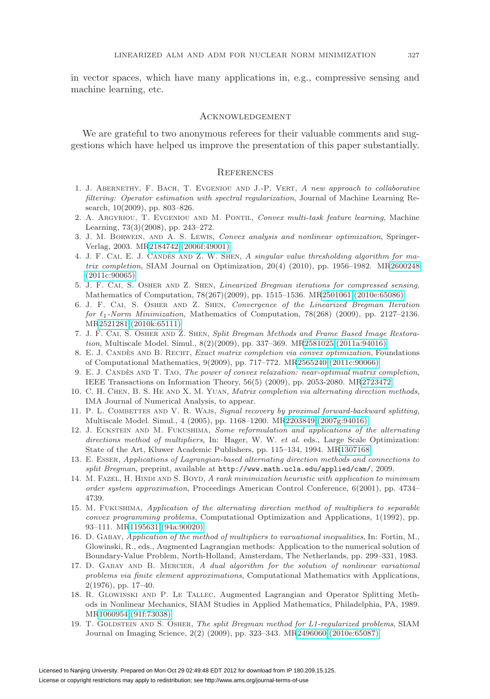in vector spaces, which have many applications in, e.g., compressive sensing and machine learning, etc.

#### **ACKNOWLEDGEMENT**

We are grateful to two anonymous referees for their valuable comments and suggestions which have helped us improve the presentation of this paper substantially.

#### **REFERENCES**

- <span id="page-26-3"></span>1. J. ABERNETHY, F. BACH, T. EVGENIOU AND J.-P. VERT, A new approach to collaborative filtering: Operator estimation with spectral regularization, Journal of Machine Learning Research, 10(2009), pp. 803–826.
- <span id="page-26-4"></span>2. A. ARGYRIOU, T. EVGENIOU AND M. PONTIL, Convex multi-task feature learning, Machine Learning, 73(3)(2008), pp. 243–272.
- <span id="page-26-16"></span>3. J. M. Borwein, and A. S. Lewis, Convex analysis and nonlinear optimization, Springer-Verlag, 2003. M[R2184742 \(2006f:49001\)](http://www.ams.org/mathscinet-getitem?mr=2184742)
- <span id="page-26-5"></span>4. J. F. CAI, E. J. CANDÉS AND Z. W. SHEN, A singular value thresholding algorithm for matrix completion, SIAM Journal on Optimization, 20(4) (2010), pp. 1956–1982. M[R2600248](http://www.ams.org/mathscinet-getitem?mr=2600248) [\(2011c:90065\)](http://www.ams.org/mathscinet-getitem?mr=2600248)
- <span id="page-26-18"></span>5. J. F. Cai, S. Osher and Z. Shen, Linearized Bregman iterations for compressed sensing, Mathematics of Computation, 78(267)(2009), pp. 1515–1536. M[R2501061 \(2010e:65086\)](http://www.ams.org/mathscinet-getitem?mr=2501061)
- <span id="page-26-11"></span>6. J. F. Cai, S. Osher and Z. Shen, Convergence of the Linearized Bregman Iteration for  $\ell_1$ -Norm Minimization, Mathematics of Computation, 78(268) (2009), pp. 2127–2136. M[R2521281 \(2010k:65111\)](http://www.ams.org/mathscinet-getitem?mr=2521281)
- <span id="page-26-10"></span>7. J. F. Cai, S. Osher and Z. Shen, Split Bregman Methods and Frame Based Image Restoration, Multiscale Model. Simul., 8(2)(2009), pp. 337–369. M[R2581025 \(2011a:94016\)](http://www.ams.org/mathscinet-getitem?mr=2581025)
- <span id="page-26-1"></span>8. E. J. CANDÈS AND B. RECHT, Exact matrix completion via convex optimization, Foundations of Computational Mathematics, 9(2009), pp. 717–772. M[R2565240 \(2011c:90066\)](http://www.ams.org/mathscinet-getitem?mr=2565240)
- <span id="page-26-2"></span>9. E. J. CANDÈS AND T. TAO, The power of convex relaxation: near-optimial matrix completion, IEEE Transactions on Information Theory, 56(5) (2009), pp. 2053-2080. M[R2723472](http://www.ams.org/mathscinet-getitem?mr=2723472)
- <span id="page-26-9"></span>10. C. H. CHEN, B. S. HE AND X. M. YUAN, Matrix completion via alternating direction methods, IMA Journal of Numerical Analysis, to appear.
- <span id="page-26-17"></span>11. P. L. COMBETTES AND V. R. WAJS, Signal recovery by proximal forward-backward splitting, Multiscale Model. Simul., 4 (2005), pp. 1168–1200. M[R2203849 \(2007g:94016\)](http://www.ams.org/mathscinet-getitem?mr=2203849)
- <span id="page-26-12"></span>12. J. Eckstein and M. Fukushima, Some reformulation and applications of the alternating directions method of multipliers, In: Hager, W. W. et al. eds., Large Scale Optimization: State of the Art, Kluwer Academic Publishers, pp. 115–134, 1994. M[R1307168](http://www.ams.org/mathscinet-getitem?mr=1307168)
- <span id="page-26-7"></span>13. E. Esser, Applications of Lagrangian-based alternating direction methods and connections to split Bregman, preprint, available at <http://www.math.ucla.edu/applied/cam/>, 2009.
- <span id="page-26-0"></span>14. M. FAZEL, H. HINDI AND S. BOYD, A rank minimization heuristic with application to minimum order system approximation, Proceedings American Control Conference, 6(2001), pp. 4734– 4739.
- <span id="page-26-13"></span>15. M. Fukushima, Application of the alternating direction method of multipliers to separable convex programming problems, Computational Optimization and Applications, 1(1992), pp. 93–111. M[R1195631 \(94a:90020\)](http://www.ams.org/mathscinet-getitem?mr=1195631)
- <span id="page-26-14"></span>16. D. Gabay, Application of the method of multipliers to varuational inequalities, In: Fortin, M., Glowinski, R., eds., Augmented Lagrangian methods: Application to the numerical solution of Boundary-Value Problem, North-Holland, Amsterdam, The Netherlands, pp. 299–331, 1983.
- <span id="page-26-6"></span>17. D. GABAY AND B. MERCIER, A dual algorithm for the solution of nonlinear variational problems via finite element approximations, Computational Mathematics with Applications, 2(1976), pp. 17–40.
- <span id="page-26-15"></span>18. R. Glowinski and P. Le Tallec, Augmented Lagrangian and Operator Splitting Methods in Nonlinear Mechanics, SIAM Studies in Applied Mathematics, Philadelphia, PA, 1989. M[R1060954 \(91f:73038\)](http://www.ams.org/mathscinet-getitem?mr=1060954)
- <span id="page-26-8"></span>19. T. GOLDSTEIN AND S. OSHER, The split Bregman method for L1-regularized problems, SIAM Journal on Imaging Science, 2(2) (2009), pp. 323–343. M[R2496060 \(2010e:65087\)](http://www.ams.org/mathscinet-getitem?mr=2496060)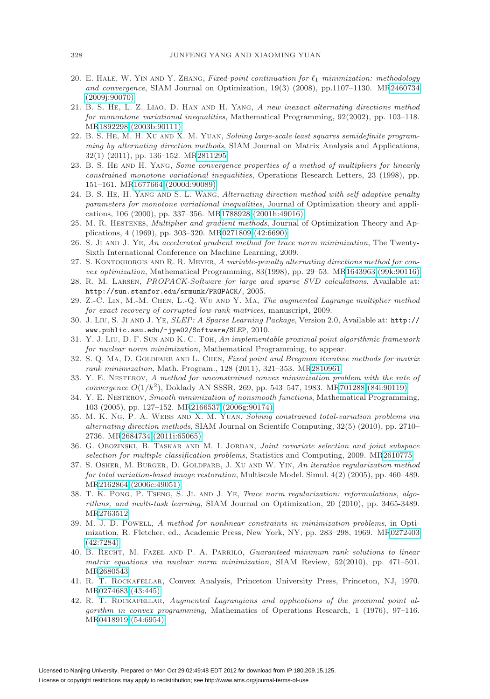- <span id="page-27-15"></span>20. E. HALE, W. YIN AND Y. ZHANG, Fixed-point continuation for  $\ell_1$ -minimization: methodology and convergence, SIAM Journal on Optimization, 19(3) (2008), pp.1107–1130. M[R2460734](http://www.ams.org/mathscinet-getitem?mr=2460734) [\(2009j:90070\)](http://www.ams.org/mathscinet-getitem?mr=2460734)
- <span id="page-27-13"></span>21. B. S. He, L. Z. Liao, D. Han and H. Yang, A new inexact alternating directions method for monontone variational inequalities, Mathematical Programming, 92(2002), pp. 103–118. M[R1892298 \(2003b:90111\)](http://www.ams.org/mathscinet-getitem?mr=1892298)
- <span id="page-27-11"></span>22. B. S. He, M. H. Xu and X. M. Yuan, Solving large-scale least squares semidefinite programming by alternating direction methods, SIAM Journal on Matrix Analysis and Applications, 32(1) (2011), pp. 136–152. M[R2811295](http://www.ams.org/mathscinet-getitem?mr=2811295)
- <span id="page-27-21"></span>23. B. S. He and H. Yang, Some convergence properties of a method of multipliers for linearly constrained monotone variational inequalities, Operations Research Letters, 23 (1998), pp. 151–161. M[R1677664 \(2000d:90089\)](http://www.ams.org/mathscinet-getitem?mr=1677664)
- <span id="page-27-22"></span>24. B. S. HE, H. YANG AND S. L. WANG, Alternating direction method with self-adaptive penalty parameters for monotone variational inequalities, Journal of Optimization theory and applications, 106 (2000), pp. 337–356. M[R1788928 \(2001h:49016\)](http://www.ams.org/mathscinet-getitem?mr=1788928)
- <span id="page-27-5"></span>25. M. R. Hestenes, Multiplier and gradient methods, Journal of Optimization Theory and Applications, 4 (1969), pp. 303–320. M[R0271809 \(42:6690\)](http://www.ams.org/mathscinet-getitem?mr=0271809)
- <span id="page-27-4"></span>26. S. Ji and J. Ye, An accelerated gradient method for trace norm minimization, The Twenty-Sixth International Conference on Machine Learning, 2009.
- <span id="page-27-14"></span>27. S. KONTOGIORGIS AND R. R. MEYER, A variable-penalty alternating directions method for convex optimization, Mathematical Programming, 83(1998), pp. 29–53. M[R1643963 \(99k:90116\)](http://www.ams.org/mathscinet-getitem?mr=1643963)
- <span id="page-27-19"></span>28. R. M. Larsen, PROPACK-Software for large and sparse SVD calculations, Available at: <http://sun.stanfor.edu/srmunk/PROPACK/>, 2005.
- <span id="page-27-12"></span>29. Z.-C. Lin, M.-M. Chen, L.-Q. Wu and Y. Ma, The augmented Lagrange multiplier method for exact recovery of corrupted low-rank matrices, manuscript, 2009.
- <span id="page-27-18"></span>30. J. Liu, S. Ji and J. Ye, SLEP: A Sparse Learning Package, Version 2.0, Available at: [http://](http://www.public.asu.edu/~jye02/Software/SLEP) [www.public.asu.edu/~jye02/Software/SLEP](http://www.public.asu.edu/~jye02/Software/SLEP), 2010.
- <span id="page-27-3"></span>31. Y. J. Liu, D. F. Sun and K. C. Toh, An implementable proximal point algorithmic framework for nuclear norm minimization, Mathematical Programming, to appear.
- <span id="page-27-7"></span>32. S. Q. MA, D. GOLDFARB AND L. CHEN, Fixed point and Bregman iterative methods for matrix rank minimization, Math. Program., 128 (2011), 321–353. M[R2810961](http://www.ams.org/mathscinet-getitem?mr=2810961)
- <span id="page-27-8"></span>33. Y. E. Nesterov, A method for unconstrained convex minimization problem with the rate of convergence  $O(1/k^2)$ , Doklady AN SSSR, 269, pp. 543–547, 1983. M[R701288 \(84i:90119\)](http://www.ams.org/mathscinet-getitem?mr=701288)
- <span id="page-27-9"></span>34. Y. E. Nesterov, Smooth minimization of nonsmooth functions, Mathematical Programming, 103 (2005), pp. 127–152. M[R2166537 \(2006g:90174\)](http://www.ams.org/mathscinet-getitem?mr=2166537)
- <span id="page-27-10"></span>35. M. K. Ng, P. A. Weiss and X. M. Yuan, Solving constrained total-variation problems via alternating direction methods, SIAM Journal on Scientifc Computing, 32(5) (2010), pp. 2710– 2736. M[R2684734 \(2011i:65065\)](http://www.ams.org/mathscinet-getitem?mr=2684734)
- <span id="page-27-1"></span>36. G. Obozinski, B. Taskar and M. I. Jordan, Joint covariate selection and joint subspace selection for multiple classification problems, Statistics and Computing, 2009. M[R2610775](http://www.ams.org/mathscinet-getitem?mr=2610775)
- <span id="page-27-16"></span>37. S. OSHER, M. BURGER, D. GOLDFARB, J. XU AND W. YIN, An iterative regularization method for total variation-based image restoration, Multiscale Model. Simul. 4(2) (2005), pp. 460–489. M[R2162864 \(2006c:49051\)](http://www.ams.org/mathscinet-getitem?mr=2162864)
- <span id="page-27-2"></span>38. T. K. Pong, P. Tseng, S. Ji. and J. Ye, Trace norm regularization: reformulations, algorithms, and multi-task learning, SIAM Journal on Optimization, 20 (2010), pp. 3465-3489. M[R2763512](http://www.ams.org/mathscinet-getitem?mr=2763512)
- <span id="page-27-6"></span>39. M. J. D. Powell, A method for nonlinear constraints in minimization problems, in Optimization, R. Fletcher, ed., Academic Press, New York, NY, pp. 283–298, 1969. M[R0272403](http://www.ams.org/mathscinet-getitem?mr=0272403) [\(42:7284\)](http://www.ams.org/mathscinet-getitem?mr=0272403)
- <span id="page-27-0"></span>40. B. Recht, M. Fazel and P. A. Parrilo, Guaranteed minimum rank solutions to linear matrix equations via nuclear norm minimization, SIAM Review, 52(2010), pp. 471–501. M[R2680543](http://www.ams.org/mathscinet-getitem?mr=2680543)
- <span id="page-27-17"></span>41. R. T. Rockafellar, Convex Analysis, Princeton University Press, Princeton, NJ, 1970. M[R0274683 \(43:445\)](http://www.ams.org/mathscinet-getitem?mr=0274683)
- <span id="page-27-20"></span>42. R. T. Rockafellar, Augmented Lagrangians and applications of the proximal point algorithm in convex programming, Mathematics of Operations Research, 1 (1976), 97–116. M[R0418919 \(54:6954\)](http://www.ams.org/mathscinet-getitem?mr=0418919)